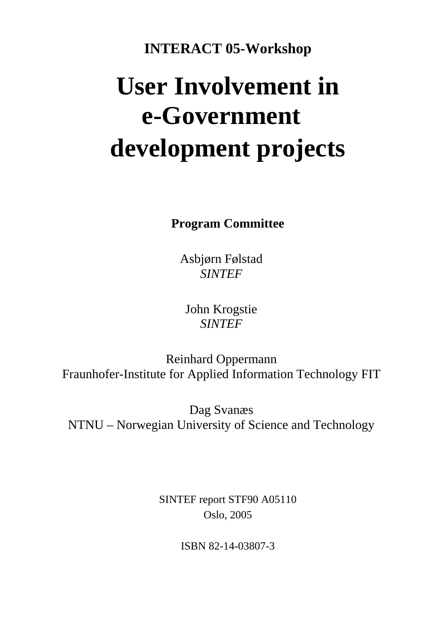**INTERACT 05-Workshop** 

# **User Involvement in e-Government development projects**

**Program Committee** 

Asbjørn Følstad *SINTEF*

John Krogstie *SINTEF*

Reinhard Oppermann Fraunhofer-Institute for Applied Information Technology FIT

Dag Svanæs NTNU – Norwegian University of Science and Technology

> SINTEF report STF90 A05110 Oslo, 2005

> > ISBN 82-14-03807-3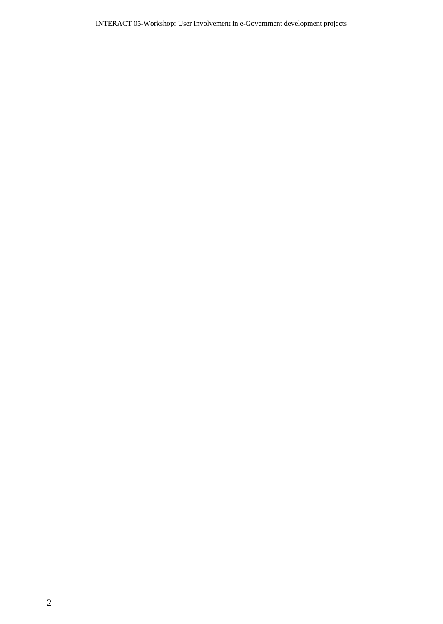INTERACT 05-Workshop: User Involvement in e-Government development projects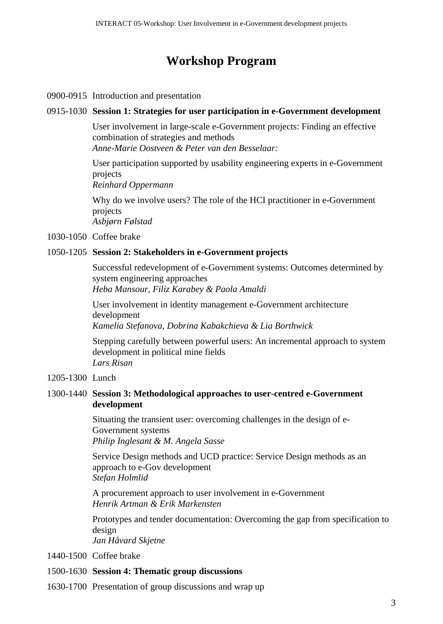## **Workshop Program**

#### 0900-0915 Introduction and presentation

#### 0915-1030 **Session 1: Strategies for user participation in e-Government development**

User involvement in large-scale e-Government projects: Finding an effective combination of strategies and methods *Anne-Marie Oostveen & Peter van den Besselaar:* 

User participation supported by usability engineering experts in e-Government projects

*Reinhard Oppermann* 

Why do we involve users? The role of the HCI practitioner in e-Government projects

*Asbjørn Følstad* 

1030-1050 Coffee brake

#### 1050-1205 **Session 2: Stakeholders in e-Government projects**

Successful redevelopment of e-Government systems: Outcomes determined by system engineering approaches

*Heba Mansour, Filiz Karabey & Paola Amaldi* 

User involvement in identity management e-Government architecture development *Kamelia Stefanova, Dobrina Kabakchieva & Lia Borthwick* 

Stepping carefully between powerful users: An incremental approach to system development in political mine fields *Lars Risan* 

1205-1300 Lunch

#### 1300-1440 **Session 3: Methodological approaches to user-centred e-Government development**

Situating the transient user: overcoming challenges in the design of e-Government systems *Philip Inglesant & M. Angela Sasse* 

Service Design methods and UCD practice: Service Design methods as an approach to e-Gov development *Stefan Holmlid* 

A procurement approach to user involvement in e-Government *Henrik Artman & Erik Markensten* 

Prototypes and tender documentation: Overcoming the gap from specification to design

*Jan Håvard Skjetne* 

1440-1500 Coffee brake

#### 1500-1630 **Session 4: Thematic group discussions**

1630-1700 Presentation of group discussions and wrap up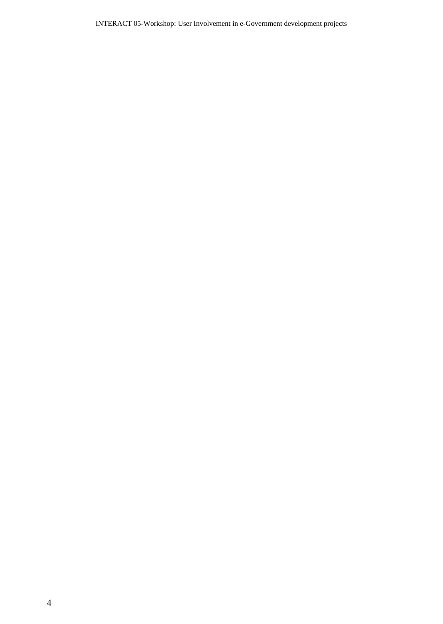INTERACT 05-Workshop: User Involvement in e-Government development projects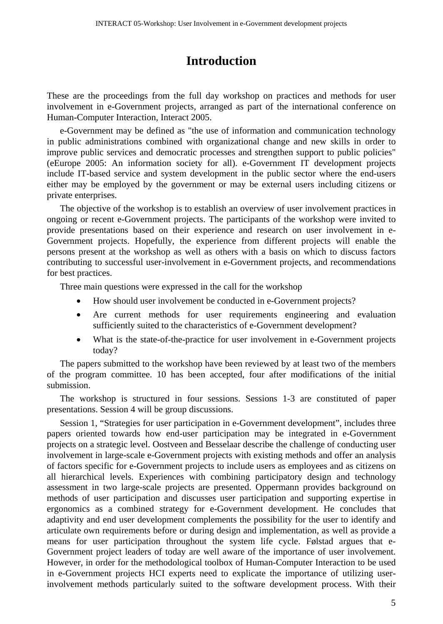## **Introduction**

These are the proceedings from the full day workshop on practices and methods for user involvement in e-Government projects, arranged as part of the international conference on Human-Computer Interaction, Interact 2005.

e-Government may be defined as "the use of information and communication technology in public administrations combined with organizational change and new skills in order to improve public services and democratic processes and strengthen support to public policies" (eEurope 2005: An information society for all). e-Government IT development projects include IT-based service and system development in the public sector where the end-users either may be employed by the government or may be external users including citizens or private enterprises.

The objective of the workshop is to establish an overview of user involvement practices in ongoing or recent e-Government projects. The participants of the workshop were invited to provide presentations based on their experience and research on user involvement in e-Government projects. Hopefully, the experience from different projects will enable the persons present at the workshop as well as others with a basis on which to discuss factors contributing to successful user-involvement in e-Government projects, and recommendations for best practices.

Three main questions were expressed in the call for the workshop

- How should user involvement be conducted in e-Government projects?
- Are current methods for user requirements engineering and evaluation sufficiently suited to the characteristics of e-Government development?
- What is the state-of-the-practice for user involvement in e-Government projects today?

The papers submitted to the workshop have been reviewed by at least two of the members of the program committee. 10 has been accepted, four after modifications of the initial submission.

The workshop is structured in four sessions. Sessions 1-3 are constituted of paper presentations. Session 4 will be group discussions.

Session 1, "Strategies for user participation in e-Government development", includes three papers oriented towards how end-user participation may be integrated in e-Government projects on a strategic level. Oostveen and Besselaar describe the challenge of conducting user involvement in large-scale e-Government projects with existing methods and offer an analysis of factors specific for e-Government projects to include users as employees and as citizens on all hierarchical levels. Experiences with combining participatory design and technology assessment in two large-scale projects are presented. Oppermann provides background on methods of user participation and discusses user participation and supporting expertise in ergonomics as a combined strategy for e-Government development. He concludes that adaptivity and end user development complements the possibility for the user to identify and articulate own requirements before or during design and implementation, as well as provide a means for user participation throughout the system life cycle. Følstad argues that e-Government project leaders of today are well aware of the importance of user involvement. However, in order for the methodological toolbox of Human-Computer Interaction to be used in e-Government projects HCI experts need to explicate the importance of utilizing userinvolvement methods particularly suited to the software development process. With their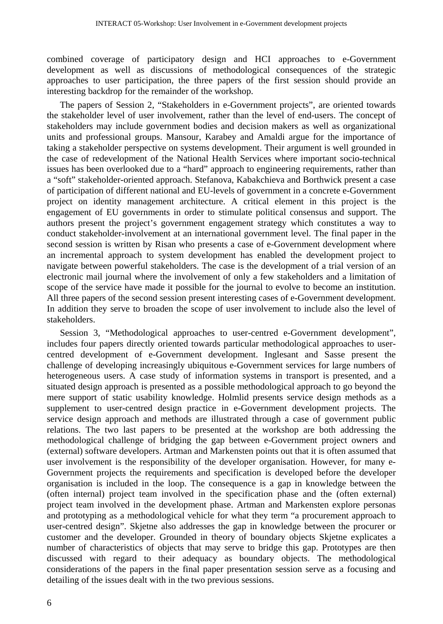combined coverage of participatory design and HCI approaches to e-Government development as well as discussions of methodological consequences of the strategic approaches to user participation, the three papers of the first session should provide an interesting backdrop for the remainder of the workshop.

The papers of Session 2, "Stakeholders in e-Government projects", are oriented towards the stakeholder level of user involvement, rather than the level of end-users. The concept of stakeholders may include government bodies and decision makers as well as organizational units and professional groups. Mansour, Karabey and Amaldi argue for the importance of taking a stakeholder perspective on systems development. Their argument is well grounded in the case of redevelopment of the National Health Services where important socio-technical issues has been overlooked due to a "hard" approach to engineering requirements, rather than a "soft" stakeholder-oriented approach. Stefanova, Kabakchieva and Borthwick present a case of participation of different national and EU-levels of government in a concrete e-Government project on identity management architecture. A critical element in this project is the engagement of EU governments in order to stimulate political consensus and support. The authors present the project's government engagement strategy which constitutes a way to conduct stakeholder-involvement at an international government level. The final paper in the second session is written by Risan who presents a case of e-Government development where an incremental approach to system development has enabled the development project to navigate between powerful stakeholders. The case is the development of a trial version of an electronic mail journal where the involvement of only a few stakeholders and a limitation of scope of the service have made it possible for the journal to evolve to become an institution. All three papers of the second session present interesting cases of e-Government development. In addition they serve to broaden the scope of user involvement to include also the level of stakeholders.

Session 3, "Methodological approaches to user-centred e-Government development", includes four papers directly oriented towards particular methodological approaches to usercentred development of e-Government development. Inglesant and Sasse present the challenge of developing increasingly ubiquitous e-Government services for large numbers of heterogeneous users. A case study of information systems in transport is presented, and a situated design approach is presented as a possible methodological approach to go beyond the mere support of static usability knowledge. Holmlid presents service design methods as a supplement to user-centred design practice in e-Government development projects. The service design approach and methods are illustrated through a case of government public relations. The two last papers to be presented at the workshop are both addressing the methodological challenge of bridging the gap between e-Government project owners and (external) software developers. Artman and Markensten points out that it is often assumed that user involvement is the responsibility of the developer organisation. However, for many e-Government projects the requirements and specification is developed before the developer organisation is included in the loop. The consequence is a gap in knowledge between the (often internal) project team involved in the specification phase and the (often external) project team involved in the development phase. Artman and Markensten explore personas and prototyping as a methodological vehicle for what they term "a procurement approach to user-centred design". Skjetne also addresses the gap in knowledge between the procurer or customer and the developer. Grounded in theory of boundary objects Skjetne explicates a number of characteristics of objects that may serve to bridge this gap. Prototypes are then discussed with regard to their adequacy as boundary objects. The methodological considerations of the papers in the final paper presentation session serve as a focusing and detailing of the issues dealt with in the two previous sessions.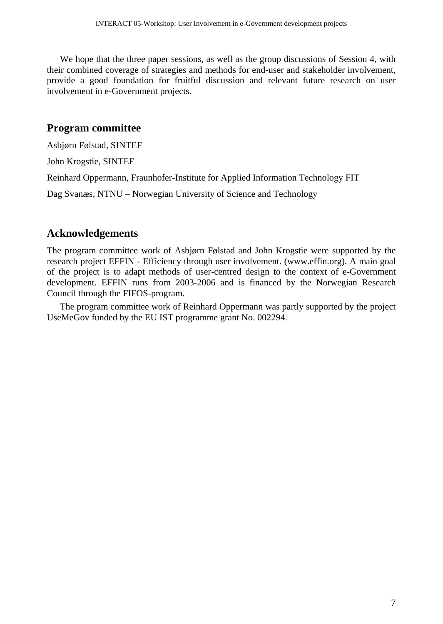We hope that the three paper sessions, as well as the group discussions of Session 4, with their combined coverage of strategies and methods for end-user and stakeholder involvement, provide a good foundation for fruitful discussion and relevant future research on user involvement in e-Government projects.

## **Program committee**

Asbjørn Følstad, SINTEF

John Krogstie, SINTEF

Reinhard Oppermann, Fraunhofer-Institute for Applied Information Technology FIT

Dag Svanæs, NTNU – Norwegian University of Science and Technology

## **Acknowledgements**

The program committee work of Asbjørn Følstad and John Krogstie were supported by the research project EFFIN - Efficiency through user involvement. (www.effin.org). A main goal of the project is to adapt methods of user-centred design to the context of e-Government development. EFFIN runs from 2003-2006 and is financed by the Norwegian Research Council through the FIFOS-program.

The program committee work of Reinhard Oppermann was partly supported by the project UseMeGov funded by the EU IST programme grant No. 002294.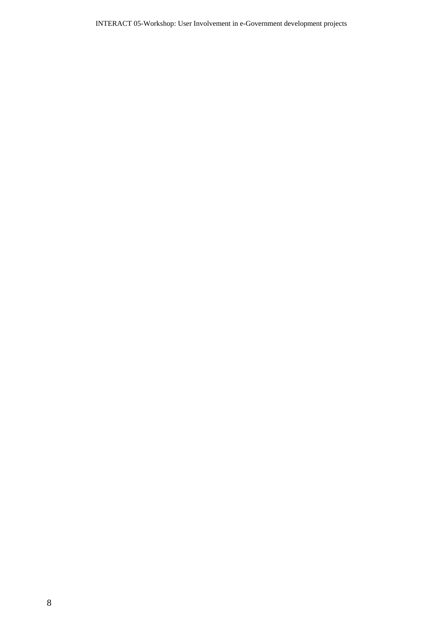INTERACT 05-Workshop: User Involvement in e-Government development projects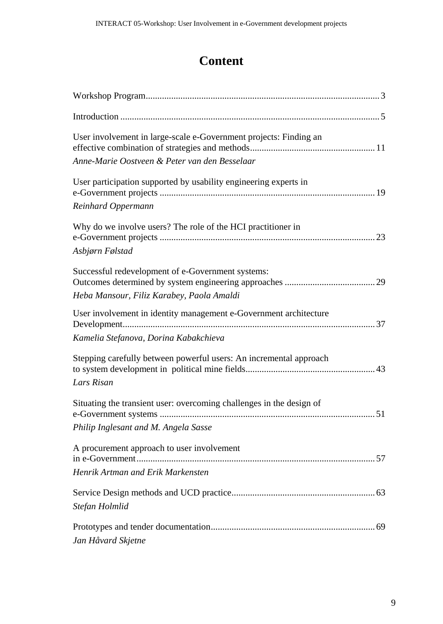# **Content**

| User involvement in large-scale e-Government projects: Finding an                              |
|------------------------------------------------------------------------------------------------|
| Anne-Marie Oostveen & Peter van den Besselaar                                                  |
| User participation supported by usability engineering experts in                               |
| Reinhard Oppermann                                                                             |
| Why do we involve users? The role of the HCI practitioner in<br>Asbjørn Følstad                |
| Successful redevelopment of e-Government systems:<br>Heba Mansour, Filiz Karabey, Paola Amaldi |
| User involvement in identity management e-Government architecture                              |
| Kamelia Stefanova, Dorina Kabakchieva                                                          |
| Stepping carefully between powerful users: An incremental approach                             |
| Lars Risan                                                                                     |
| Situating the transient user: overcoming challenges in the design of                           |
| Philip Inglesant and M. Angela Sasse                                                           |
| A procurement approach to user involvement                                                     |
| Henrik Artman and Erik Markensten                                                              |
| Stefan Holmlid                                                                                 |
| Jan Håvard Skjetne                                                                             |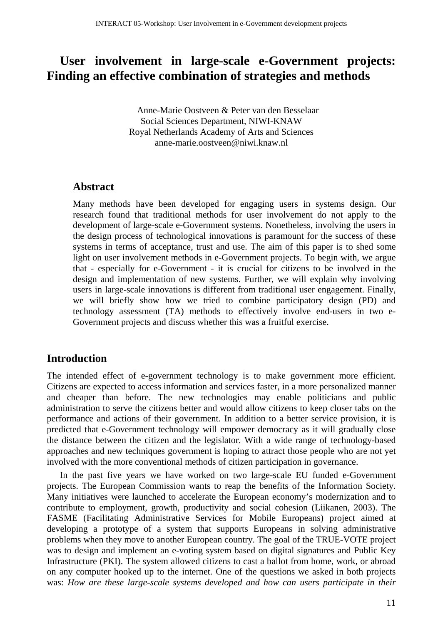## **User involvement in large-scale e-Government projects: Finding an effective combination of strategies and methods**

Anne-Marie Oostveen & Peter van den Besselaar Social Sciences Department, NIWI-KNAW Royal Netherlands Academy of Arts and Sciences anne-marie.oostveen@niwi.knaw.nl

## **Abstract**

Many methods have been developed for engaging users in systems design. Our research found that traditional methods for user involvement do not apply to the development of large-scale e-Government systems. Nonetheless, involving the users in the design process of technological innovations is paramount for the success of these systems in terms of acceptance, trust and use. The aim of this paper is to shed some light on user involvement methods in e-Government projects. To begin with, we argue that - especially for e-Government - it is crucial for citizens to be involved in the design and implementation of new systems. Further, we will explain why involving users in large-scale innovations is different from traditional user engagement. Finally, we will briefly show how we tried to combine participatory design (PD) and technology assessment (TA) methods to effectively involve end-users in two e-Government projects and discuss whether this was a fruitful exercise.

## **Introduction**

The intended effect of e-government technology is to make government more efficient. Citizens are expected to access information and services faster, in a more personalized manner and cheaper than before. The new technologies may enable politicians and public administration to serve the citizens better and would allow citizens to keep closer tabs on the performance and actions of their government. In addition to a better service provision, it is predicted that e-Government technology will empower democracy as it will gradually close the distance between the citizen and the legislator. With a wide range of technology-based approaches and new techniques government is hoping to attract those people who are not yet involved with the more conventional methods of citizen participation in governance.

In the past five years we have worked on two large-scale EU funded e-Government projects. The European Commission wants to reap the benefits of the Information Society. Many initiatives were launched to accelerate the European economy's modernization and to contribute to employment, growth, productivity and social cohesion (Liikanen, 2003). The FASME (Facilitating Administrative Services for Mobile Europeans) project aimed at developing a prototype of a system that supports Europeans in solving administrative problems when they move to another European country. The goal of the TRUE-VOTE project was to design and implement an e-voting system based on digital signatures and Public Key Infrastructure (PKI). The system allowed citizens to cast a ballot from home, work, or abroad on any computer hooked up to the internet. One of the questions we asked in both projects was: *How are these large-scale systems developed and how can users participate in their*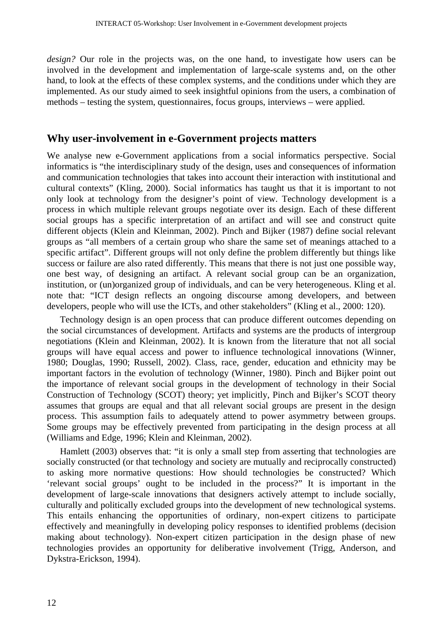*design?* Our role in the projects was, on the one hand, to investigate how users can be involved in the development and implementation of large-scale systems and, on the other hand, to look at the effects of these complex systems, and the conditions under which they are implemented. As our study aimed to seek insightful opinions from the users, a combination of methods – testing the system, questionnaires, focus groups, interviews – were applied.

## **Why user-involvement in e-Government projects matters**

We analyse new e-Government applications from a social informatics perspective. Social informatics is "the interdisciplinary study of the design, uses and consequences of information and communication technologies that takes into account their interaction with institutional and cultural contexts" (Kling, 2000). Social informatics has taught us that it is important to not only look at technology from the designer's point of view. Technology development is a process in which multiple relevant groups negotiate over its design. Each of these different social groups has a specific interpretation of an artifact and will see and construct quite different objects (Klein and Kleinman, 2002). Pinch and Bijker (1987) define social relevant groups as "all members of a certain group who share the same set of meanings attached to a specific artifact". Different groups will not only define the problem differently but things like success or failure are also rated differently. This means that there is not just one possible way, one best way, of designing an artifact. A relevant social group can be an organization, institution, or (un)organized group of individuals, and can be very heterogeneous. Kling et al. note that: "ICT design reflects an ongoing discourse among developers, and between developers, people who will use the ICTs, and other stakeholders" (Kling et al., 2000: 120).

Technology design is an open process that can produce different outcomes depending on the social circumstances of development. Artifacts and systems are the products of intergroup negotiations (Klein and Kleinman, 2002). It is known from the literature that not all social groups will have equal access and power to influence technological innovations (Winner, 1980; Douglas, 1990; Russell, 2002). Class, race, gender, education and ethnicity may be important factors in the evolution of technology (Winner, 1980). Pinch and Bijker point out the importance of relevant social groups in the development of technology in their Social Construction of Technology (SCOT) theory; yet implicitly, Pinch and Bijker's SCOT theory assumes that groups are equal and that all relevant social groups are present in the design process. This assumption fails to adequately attend to power asymmetry between groups. Some groups may be effectively prevented from participating in the design process at all (Williams and Edge, 1996; Klein and Kleinman, 2002).

Hamlett (2003) observes that: "it is only a small step from asserting that technologies are socially constructed (or that technology and society are mutually and reciprocally constructed) to asking more normative questions: How should technologies be constructed? Which 'relevant social groups' ought to be included in the process?" It is important in the development of large-scale innovations that designers actively attempt to include socially, culturally and politically excluded groups into the development of new technological systems. This entails enhancing the opportunities of ordinary, non-expert citizens to participate effectively and meaningfully in developing policy responses to identified problems (decision making about technology). Non-expert citizen participation in the design phase of new technologies provides an opportunity for deliberative involvement (Trigg, Anderson, and Dykstra-Erickson, 1994).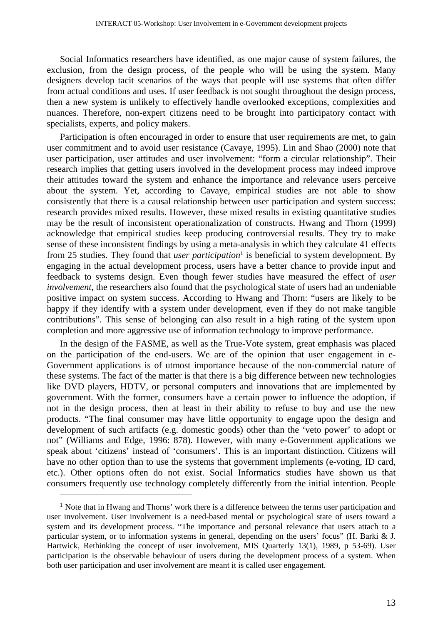Social Informatics researchers have identified, as one major cause of system failures, the exclusion, from the design process, of the people who will be using the system. Many designers develop tacit scenarios of the ways that people will use systems that often differ from actual conditions and uses. If user feedback is not sought throughout the design process, then a new system is unlikely to effectively handle overlooked exceptions, complexities and nuances. Therefore, non-expert citizens need to be brought into participatory contact with specialists, experts, and policy makers.

Participation is often encouraged in order to ensure that user requirements are met, to gain user commitment and to avoid user resistance (Cavaye, 1995). Lin and Shao (2000) note that user participation, user attitudes and user involvement: "form a circular relationship". Their research implies that getting users involved in the development process may indeed improve their attitudes toward the system and enhance the importance and relevance users perceive about the system. Yet, according to Cavaye, empirical studies are not able to show consistently that there is a causal relationship between user participation and system success: research provides mixed results. However, these mixed results in existing quantitative studies may be the result of inconsistent operationalization of constructs. Hwang and Thorn (1999) acknowledge that empirical studies keep producing controversial results. They try to make sense of these inconsistent findings by using a meta-analysis in which they calculate 41 effects from 25 studies. They found that *user participation*1 is beneficial to system development. By engaging in the actual development process, users have a better chance to provide input and feedback to systems design. Even though fewer studies have measured the effect of *user involvement*, the researchers also found that the psychological state of users had an undeniable positive impact on system success. According to Hwang and Thorn: "users are likely to be happy if they identify with a system under development, even if they do not make tangible contributions". This sense of belonging can also result in a high rating of the system upon completion and more aggressive use of information technology to improve performance.

In the design of the FASME, as well as the True-Vote system, great emphasis was placed on the participation of the end-users. We are of the opinion that user engagement in e-Government applications is of utmost importance because of the non-commercial nature of these systems. The fact of the matter is that there is a big difference between new technologies like DVD players, HDTV, or personal computers and innovations that are implemented by government. With the former, consumers have a certain power to influence the adoption, if not in the design process, then at least in their ability to refuse to buy and use the new products. "The final consumer may have little opportunity to engage upon the design and development of such artifacts (e.g. domestic goods) other than the 'veto power' to adopt or not" (Williams and Edge, 1996: 878). However, with many e-Government applications we speak about 'citizens' instead of 'consumers'. This is an important distinction. Citizens will have no other option than to use the systems that government implements (e-voting, ID card, etc.). Other options often do not exist. Social Informatics studies have shown us that consumers frequently use technology completely differently from the initial intention. People

 $\overline{a}$ 

<sup>&</sup>lt;sup>1</sup> Note that in Hwang and Thorns' work there is a difference between the terms user participation and user involvement. User involvement is a need-based mental or psychological state of users toward a system and its development process. "The importance and personal relevance that users attach to a particular system, or to information systems in general, depending on the users' focus" (H. Barki & J. Hartwick, Rethinking the concept of user involvement, MIS Quarterly 13(1), 1989, p 53-69). User participation is the observable behaviour of users during the development process of a system. When both user participation and user involvement are meant it is called user engagement.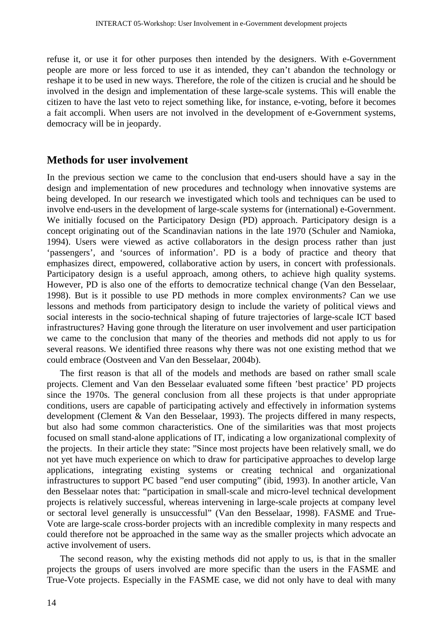refuse it, or use it for other purposes then intended by the designers. With e-Government people are more or less forced to use it as intended, they can't abandon the technology or reshape it to be used in new ways. Therefore, the role of the citizen is crucial and he should be involved in the design and implementation of these large-scale systems. This will enable the citizen to have the last veto to reject something like, for instance, e-voting, before it becomes a fait accompli. When users are not involved in the development of e-Government systems, democracy will be in jeopardy.

#### **Methods for user involvement**

In the previous section we came to the conclusion that end-users should have a say in the design and implementation of new procedures and technology when innovative systems are being developed. In our research we investigated which tools and techniques can be used to involve end-users in the development of large-scale systems for (international) e-Government. We initially focused on the Participatory Design (PD) approach. Participatory design is a concept originating out of the Scandinavian nations in the late 1970 (Schuler and Namioka, 1994). Users were viewed as active collaborators in the design process rather than just 'passengers', and 'sources of information'. PD is a body of practice and theory that emphasizes direct, empowered, collaborative action by users, in concert with professionals. Participatory design is a useful approach, among others, to achieve high quality systems. However, PD is also one of the efforts to democratize technical change (Van den Besselaar, 1998). But is it possible to use PD methods in more complex environments? Can we use lessons and methods from participatory design to include the variety of political views and social interests in the socio-technical shaping of future trajectories of large-scale ICT based infrastructures? Having gone through the literature on user involvement and user participation we came to the conclusion that many of the theories and methods did not apply to us for several reasons. We identified three reasons why there was not one existing method that we could embrace (Oostveen and Van den Besselaar, 2004b).

The first reason is that all of the models and methods are based on rather small scale projects. Clement and Van den Besselaar evaluated some fifteen 'best practice' PD projects since the 1970s. The general conclusion from all these projects is that under appropriate conditions, users are capable of participating actively and effectively in information systems development (Clement & Van den Besselaar, 1993). The projects differed in many respects, but also had some common characteristics. One of the similarities was that most projects focused on small stand-alone applications of IT, indicating a low organizational complexity of the projects. In their article they state: "Since most projects have been relatively small, we do not yet have much experience on which to draw for participative approaches to develop large applications, integrating existing systems or creating technical and organizational infrastructures to support PC based "end user computing" (ibid, 1993). In another article, Van den Besselaar notes that: "participation in small-scale and micro-level technical development projects is relatively successful, whereas intervening in large-scale projects at company level or sectoral level generally is unsuccessful" (Van den Besselaar, 1998). FASME and True-Vote are large-scale cross-border projects with an incredible complexity in many respects and could therefore not be approached in the same way as the smaller projects which advocate an active involvement of users.

The second reason, why the existing methods did not apply to us, is that in the smaller projects the groups of users involved are more specific than the users in the FASME and True-Vote projects. Especially in the FASME case, we did not only have to deal with many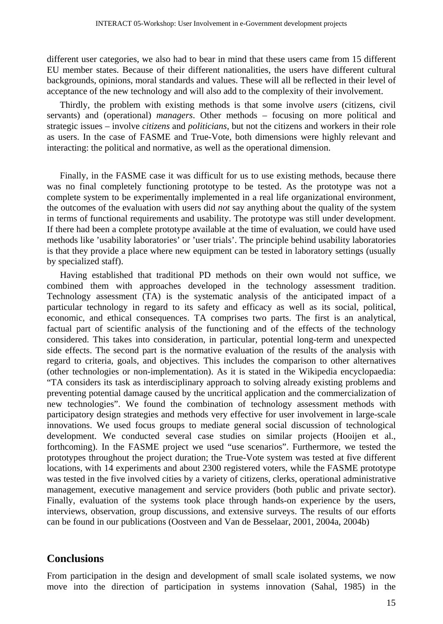different user categories, we also had to bear in mind that these users came from 15 different EU member states. Because of their different nationalities, the users have different cultural backgrounds, opinions, moral standards and values. These will all be reflected in their level of acceptance of the new technology and will also add to the complexity of their involvement.

Thirdly, the problem with existing methods is that some involve *users* (citizens, civil servants) and (operational) *managers*. Other methods – focusing on more political and strategic issues – involve *citizens* and *politicians*, but not the citizens and workers in their role as users. In the case of FASME and True-Vote, both dimensions were highly relevant and interacting: the political and normative, as well as the operational dimension.

Finally, in the FASME case it was difficult for us to use existing methods, because there was no final completely functioning prototype to be tested. As the prototype was not a complete system to be experimentally implemented in a real life organizational environment, the outcomes of the evaluation with users did *not* say anything about the quality of the system in terms of functional requirements and usability. The prototype was still under development. If there had been a complete prototype available at the time of evaluation, we could have used methods like 'usability laboratories' or 'user trials'. The principle behind usability laboratories is that they provide a place where new equipment can be tested in laboratory settings (usually by specialized staff).

Having established that traditional PD methods on their own would not suffice, we combined them with approaches developed in the technology assessment tradition. Technology assessment (TA) is the systematic analysis of the anticipated impact of a particular technology in regard to its safety and efficacy as well as its social, political, economic, and ethical consequences. TA comprises two parts. The first is an analytical, factual part of scientific analysis of the functioning and of the effects of the technology considered. This takes into consideration, in particular, potential long-term and unexpected side effects. The second part is the normative evaluation of the results of the analysis with regard to criteria, goals, and objectives. This includes the comparison to other alternatives (other technologies or non-implementation). As it is stated in the Wikipedia encyclopaedia: "TA considers its task as interdisciplinary approach to solving already existing problems and preventing potential damage caused by the uncritical application and the commercialization of new technologies". We found the combination of technology assessment methods with participatory design strategies and methods very effective for user involvement in large-scale innovations. We used focus groups to mediate general social discussion of technological development. We conducted several case studies on similar projects (Hooijen et al., forthcoming). In the FASME project we used "use scenarios". Furthermore, we tested the prototypes throughout the project duration; the True-Vote system was tested at five different locations, with 14 experiments and about 2300 registered voters, while the FASME prototype was tested in the five involved cities by a variety of citizens, clerks, operational administrative management, executive management and service providers (both public and private sector). Finally, evaluation of the systems took place through hands-on experience by the users, interviews, observation, group discussions, and extensive surveys. The results of our efforts can be found in our publications (Oostveen and Van de Besselaar, 2001, 2004a, 2004b)

### **Conclusions**

From participation in the design and development of small scale isolated systems, we now move into the direction of participation in systems innovation (Sahal, 1985) in the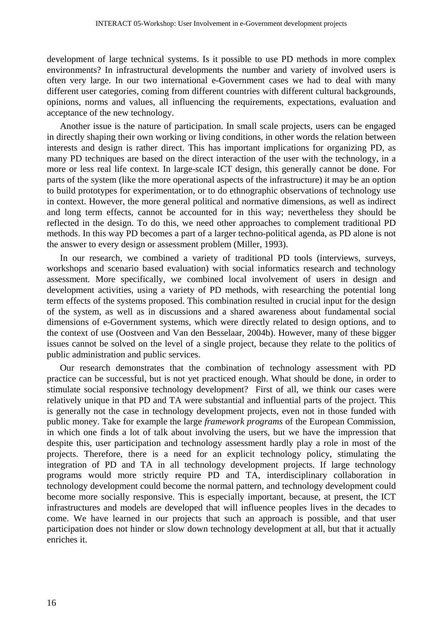development of large technical systems. Is it possible to use PD methods in more complex environments? In infrastructural developments the number and variety of involved users is often very large. In our two international e-Government cases we had to deal with many different user categories, coming from different countries with different cultural backgrounds, opinions, norms and values, all influencing the requirements, expectations, evaluation and acceptance of the new technology.

Another issue is the nature of participation. In small scale projects, users can be engaged in directly shaping their own working or living conditions, in other words the relation between interests and design is rather direct. This has important implications for organizing PD, as many PD techniques are based on the direct interaction of the user with the technology, in a more or less real life context. In large-scale ICT design, this generally cannot be done. For parts of the system (like the more operational aspects of the infrastructure) it may be an option to build prototypes for experimentation, or to do ethnographic observations of technology use in context. However, the more general political and normative dimensions, as well as indirect and long term effects, cannot be accounted for in this way; nevertheless they should be reflected in the design. To do this, we need other approaches to complement traditional PD methods. In this way PD becomes a part of a larger techno-political agenda, as PD alone is not the answer to every design or assessment problem (Miller, 1993).

In our research, we combined a variety of traditional PD tools (interviews, surveys, workshops and scenario based evaluation) with social informatics research and technology assessment. More specifically, we combined local involvement of users in design and development activities, using a variety of PD methods, with researching the potential long term effects of the systems proposed. This combination resulted in crucial input for the design of the system, as well as in discussions and a shared awareness about fundamental social dimensions of e-Government systems, which were directly related to design options, and to the context of use (Oostveen and Van den Besselaar, 2004b). However, many of these bigger issues cannot be solved on the level of a single project, because they relate to the politics of public administration and public services.

Our research demonstrates that the combination of technology assessment with PD practice can be successful, but is not yet practiced enough. What should be done, in order to stimulate social responsive technology development? First of all, we think our cases were relatively unique in that PD and TA were substantial and influential parts of the project. This is generally not the case in technology development projects, even not in those funded with public money. Take for example the large *framework programs* of the European Commission, in which one finds a lot of talk about involving the users, but we have the impression that despite this, user participation and technology assessment hardly play a role in most of the projects. Therefore, there is a need for an explicit technology policy, stimulating the integration of PD and TA in all technology development projects. If large technology programs would more strictly require PD and TA, interdisciplinary collaboration in technology development could become the normal pattern, and technology development could become more socially responsive. This is especially important, because, at present, the ICT infrastructures and models are developed that will influence peoples lives in the decades to come. We have learned in our projects that such an approach is possible, and that user participation does not hinder or slow down technology development at all, but that it actually enriches it.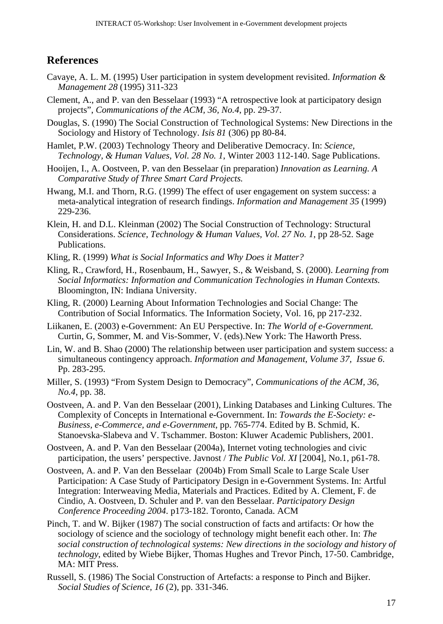## **References**

- Cavaye, A. L. M. (1995) User participation in system development revisited. *Information & Management 28* (1995) 311-323
- Clement, A., and P. van den Besselaar (1993) "A retrospective look at participatory design projects", *Communications of the ACM, 36, No.4*, pp. 29-37.
- Douglas, S. (1990) The Social Construction of Technological Systems: New Directions in the Sociology and History of Technology. *Isis 81* (306) pp 80-84.
- Hamlet, P.W. (2003) Technology Theory and Deliberative Democracy. In: *Science, Technology, & Human Values, Vol. 28 No. 1*, Winter 2003 112-140. Sage Publications.
- Hooijen, I., A. Oostveen, P. van den Besselaar (in preparation) *Innovation as Learning. A Comparative Study of Three Smart Card Projects.*
- Hwang, M.I. and Thorn, R.G. (1999) The effect of user engagement on system success: a meta-analytical integration of research findings. *Information and Management 35* (1999) 229-236.
- Klein, H. and D.L. Kleinman (2002) The Social Construction of Technology: Structural Considerations. *Science, Technology & Human Values, Vol. 27 No. 1*, pp 28-52. Sage Publications.
- Kling, R. (1999) *What is Social Informatics and Why Does it Matter?*
- Kling, R., Crawford, H., Rosenbaum, H., Sawyer, S., & Weisband, S. (2000). *Learning from Social Informatics: Information and Communication Technologies in Human Contexts.* Bloomington, IN: Indiana University.
- Kling, R. (2000) Learning About Information Technologies and Social Change: The Contribution of Social Informatics. The Information Society, Vol. 16, pp 217-232.
- Liikanen, E. (2003) e-Government: An EU Perspective. In: *The World of e-Government.* Curtin, G, Sommer, M. and Vis-Sommer, V. (eds).New York: The Haworth Press.
- Lin, W. and B. Shao (2000) The relationship between user participation and system success: a simultaneous contingency approach. *Information and Management, Volume 37, Issue 6*. Pp. 283-295.
- Miller, S. (1993) "From System Design to Democracy", *Communications of the ACM, 36, No.4*, pp. 38.
- Oostveen, A. and P. Van den Besselaar (2001), Linking Databases and Linking Cultures. The Complexity of Concepts in International e-Government. In: *Towards the E-Society: e-Business, e-Commerce, and e-Government*, pp. 765-774. Edited by B. Schmid, K. Stanoevska-Slabeva and V. Tschammer. Boston: Kluwer Academic Publishers, 2001.
- Oostveen, A. and P. Van den Besselaar (2004a), Internet voting technologies and civic participation, the users' perspective. Javnost / *The Public Vol. XI* [2004], No.1, p61-78.
- Oostveen, A. and P. Van den Besselaar (2004b) From Small Scale to Large Scale User Participation: A Case Study of Participatory Design in e-Government Systems. In: Artful Integration: Interweaving Media, Materials and Practices. Edited by A. Clement, F. de Cindio, A. Oostveen, D. Schuler and P. van den Besselaar. *Participatory Design Conference Proceeding 2004*. p173-182. Toronto, Canada. ACM
- Pinch, T. and W. Bijker (1987) The social construction of facts and artifacts: Or how the sociology of science and the sociology of technology might benefit each other. In: *The social construction of technological systems: New directions in the sociology and history of technology*, edited by Wiebe Bijker, Thomas Hughes and Trevor Pinch, 17-50. Cambridge, MA: MIT Press.
- Russell, S. (1986) The Social Construction of Artefacts: a response to Pinch and Bijker. *Social Studies of Science, 16* (2), pp. 331-346.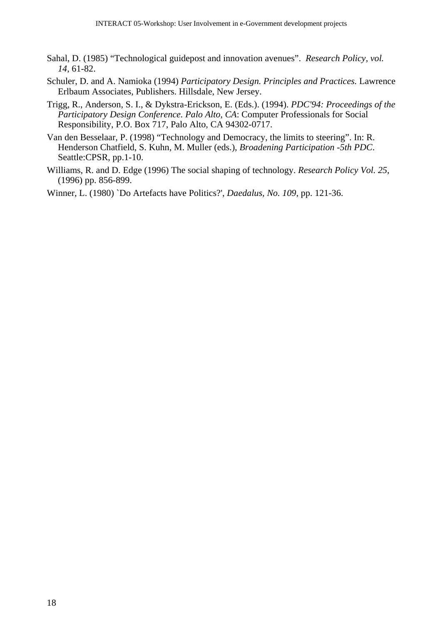- Sahal, D. (1985) "Technological guidepost and innovation avenues". *Research Policy, vol. 14*, 61-82.
- Schuler, D. and A. Namioka (1994) *Participatory Design. Principles and Practices.* Lawrence Erlbaum Associates, Publishers. Hillsdale, New Jersey.
- Trigg, R., Anderson, S. I., & Dykstra-Erickson, E. (Eds.). (1994). *PDC'94: Proceedings of the Participatory Design Conference. Palo Alto, CA*: Computer Professionals for Social Responsibility, P.O. Box 717, Palo Alto, CA 94302-0717.
- Van den Besselaar, P. (1998) "Technology and Democracy, the limits to steering". In: R. Henderson Chatfield, S. Kuhn, M. Muller (eds.), *Broadening Participation -5th PDC*. Seattle:CPSR, pp.1-10.
- Williams, R. and D. Edge (1996) The social shaping of technology. *Research Policy Vol. 25*, (1996) pp. 856-899.

Winner, L. (1980) `Do Artefacts have Politics?', *Daedalus, No. 109*, pp. 121-36.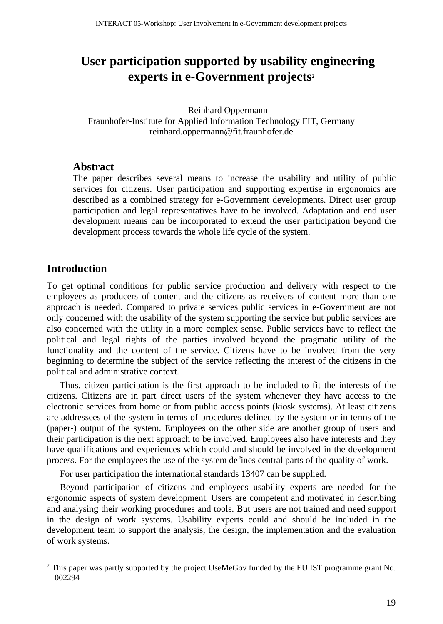## **User participation supported by usability engineering experts in e-Government projects2**

Reinhard Oppermann Fraunhofer-Institute for Applied Information Technology FIT, Germany reinhard.oppermann@fit.fraunhofer.de

## **Abstract**

The paper describes several means to increase the usability and utility of public services for citizens. User participation and supporting expertise in ergonomics are described as a combined strategy for e-Government developments. Direct user group participation and legal representatives have to be involved. Adaptation and end user development means can be incorporated to extend the user participation beyond the development process towards the whole life cycle of the system.

## **Introduction**

 $\overline{a}$ 

To get optimal conditions for public service production and delivery with respect to the employees as producers of content and the citizens as receivers of content more than one approach is needed. Compared to private services public services in e-Government are not only concerned with the usability of the system supporting the service but public services are also concerned with the utility in a more complex sense. Public services have to reflect the political and legal rights of the parties involved beyond the pragmatic utility of the functionality and the content of the service. Citizens have to be involved from the very beginning to determine the subject of the service reflecting the interest of the citizens in the political and administrative context.

Thus, citizen participation is the first approach to be included to fit the interests of the citizens. Citizens are in part direct users of the system whenever they have access to the electronic services from home or from public access points (kiosk systems). At least citizens are addressees of the system in terms of procedures defined by the system or in terms of the (paper-) output of the system. Employees on the other side are another group of users and their participation is the next approach to be involved. Employees also have interests and they have qualifications and experiences which could and should be involved in the development process. For the employees the use of the system defines central parts of the quality of work.

For user participation the international standards 13407 can be supplied.

Beyond participation of citizens and employees usability experts are needed for the ergonomic aspects of system development. Users are competent and motivated in describing and analysing their working procedures and tools. But users are not trained and need support in the design of work systems. Usability experts could and should be included in the development team to support the analysis, the design, the implementation and the evaluation of work systems.

<sup>&</sup>lt;sup>2</sup> This paper was partly supported by the project UseMeGov funded by the EU IST programme grant No. 002294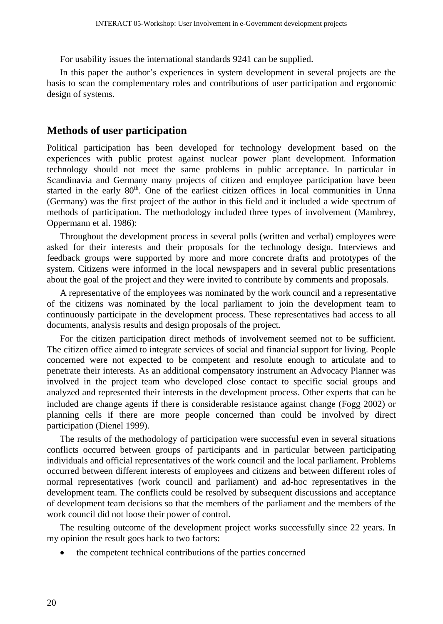For usability issues the international standards 9241 can be supplied.

In this paper the author's experiences in system development in several projects are the basis to scan the complementary roles and contributions of user participation and ergonomic design of systems.

#### **Methods of user participation**

Political participation has been developed for technology development based on the experiences with public protest against nuclear power plant development. Information technology should not meet the same problems in public acceptance. In particular in Scandinavia and Germany many projects of citizen and employee participation have been started in the early 80<sup>th</sup>. One of the earliest citizen offices in local communities in Unna (Germany) was the first project of the author in this field and it included a wide spectrum of methods of participation. The methodology included three types of involvement (Mambrey, Oppermann et al. 1986):

Throughout the development process in several polls (written and verbal) employees were asked for their interests and their proposals for the technology design. Interviews and feedback groups were supported by more and more concrete drafts and prototypes of the system. Citizens were informed in the local newspapers and in several public presentations about the goal of the project and they were invited to contribute by comments and proposals.

A representative of the employees was nominated by the work council and a representative of the citizens was nominated by the local parliament to join the development team to continuously participate in the development process. These representatives had access to all documents, analysis results and design proposals of the project.

For the citizen participation direct methods of involvement seemed not to be sufficient. The citizen office aimed to integrate services of social and financial support for living. People concerned were not expected to be competent and resolute enough to articulate and to penetrate their interests. As an additional compensatory instrument an Advocacy Planner was involved in the project team who developed close contact to specific social groups and analyzed and represented their interests in the development process. Other experts that can be included are change agents if there is considerable resistance against change (Fogg 2002) or planning cells if there are more people concerned than could be involved by direct participation (Dienel 1999).

The results of the methodology of participation were successful even in several situations conflicts occurred between groups of participants and in particular between participating individuals and official representatives of the work council and the local parliament. Problems occurred between different interests of employees and citizens and between different roles of normal representatives (work council and parliament) and ad-hoc representatives in the development team. The conflicts could be resolved by subsequent discussions and acceptance of development team decisions so that the members of the parliament and the members of the work council did not loose their power of control.

The resulting outcome of the development project works successfully since 22 years. In my opinion the result goes back to two factors:

the competent technical contributions of the parties concerned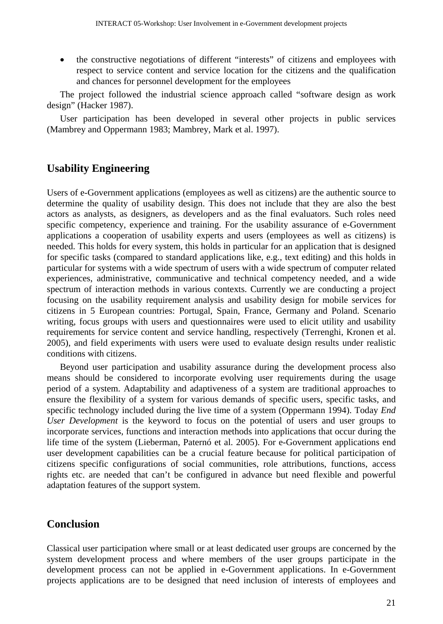• the constructive negotiations of different "interests" of citizens and employees with respect to service content and service location for the citizens and the qualification and chances for personnel development for the employees

The project followed the industrial science approach called "software design as work design" (Hacker 1987).

User participation has been developed in several other projects in public services (Mambrey and Oppermann 1983; Mambrey, Mark et al. 1997).

## **Usability Engineering**

Users of e-Government applications (employees as well as citizens) are the authentic source to determine the quality of usability design. This does not include that they are also the best actors as analysts, as designers, as developers and as the final evaluators. Such roles need specific competency, experience and training. For the usability assurance of e-Government applications a cooperation of usability experts and users (employees as well as citizens) is needed. This holds for every system, this holds in particular for an application that is designed for specific tasks (compared to standard applications like, e.g., text editing) and this holds in particular for systems with a wide spectrum of users with a wide spectrum of computer related experiences, administrative, communicative and technical competency needed, and a wide spectrum of interaction methods in various contexts. Currently we are conducting a project focusing on the usability requirement analysis and usability design for mobile services for citizens in 5 European countries: Portugal, Spain, France, Germany and Poland. Scenario writing, focus groups with users and questionnaires were used to elicit utility and usability requirements for service content and service handling, respectively (Terrenghi, Kronen et al. 2005), and field experiments with users were used to evaluate design results under realistic conditions with citizens.

Beyond user participation and usability assurance during the development process also means should be considered to incorporate evolving user requirements during the usage period of a system. Adaptability and adaptiveness of a system are traditional approaches to ensure the flexibility of a system for various demands of specific users, specific tasks, and specific technology included during the live time of a system (Oppermann 1994). Today *End User Development* is the keyword to focus on the potential of users and user groups to incorporate services, functions and interaction methods into applications that occur during the life time of the system (Lieberman, Paternó et al. 2005). For e-Government applications end user development capabilities can be a crucial feature because for political participation of citizens specific configurations of social communities, role attributions, functions, access rights etc. are needed that can't be configured in advance but need flexible and powerful adaptation features of the support system.

## **Conclusion**

Classical user participation where small or at least dedicated user groups are concerned by the system development process and where members of the user groups participate in the development process can not be applied in e-Government applications. In e-Government projects applications are to be designed that need inclusion of interests of employees and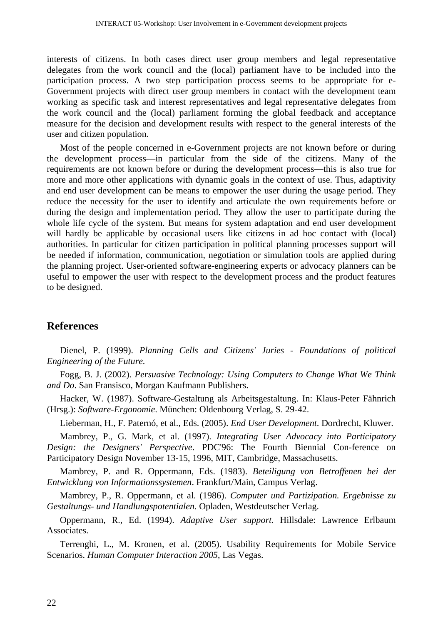interests of citizens. In both cases direct user group members and legal representative delegates from the work council and the (local) parliament have to be included into the participation process. A two step participation process seems to be appropriate for e-Government projects with direct user group members in contact with the development team working as specific task and interest representatives and legal representative delegates from the work council and the (local) parliament forming the global feedback and acceptance measure for the decision and development results with respect to the general interests of the user and citizen population.

Most of the people concerned in e-Government projects are not known before or during the development process—in particular from the side of the citizens. Many of the requirements are not known before or during the development process—this is also true for more and more other applications with dynamic goals in the context of use. Thus, adaptivity and end user development can be means to empower the user during the usage period. They reduce the necessity for the user to identify and articulate the own requirements before or during the design and implementation period. They allow the user to participate during the whole life cycle of the system. But means for system adaptation and end user development will hardly be applicable by occasional users like citizens in ad hoc contact with (local) authorities. In particular for citizen participation in political planning processes support will be needed if information, communication, negotiation or simulation tools are applied during the planning project. User-oriented software-engineering experts or advocacy planners can be useful to empower the user with respect to the development process and the product features to be designed.

#### **References**

Dienel, P. (1999). *Planning Cells and Citizens' Juries - Foundations of political Engineering of the Future.*

Fogg, B. J. (2002). *Persuasive Technology: Using Computers to Change What We Think and Do*. San Fransisco, Morgan Kaufmann Publishers.

Hacker, W. (1987). Software-Gestaltung als Arbeitsgestaltung. In: Klaus-Peter Fähnrich (Hrsg.): *Software-Ergonomie*. München: Oldenbourg Verlag, S. 29-42.

Lieberman, H., F. Paternó, et al., Eds. (2005). *End User Development*. Dordrecht, Kluwer.

Mambrey, P., G. Mark, et al. (1997). *Integrating User Advocacy into Participatory Design: the Designers' Perspective*. PDC'96: The Fourth Biennial Con-ference on Participatory Design November 13-15, 1996, MIT, Cambridge, Massachusetts.

Mambrey, P. and R. Oppermann, Eds. (1983). *Beteiligung von Betroffenen bei der Entwicklung von Informationssystemen*. Frankfurt/Main, Campus Verlag.

Mambrey, P., R. Oppermann, et al. (1986). *Computer und Partizipation. Ergebnisse zu Gestaltungs- und Handlungspotentialen.* Opladen, Westdeutscher Verlag.

Oppermann, R., Ed. (1994). *Adaptive User support.* Hillsdale: Lawrence Erlbaum Associates.

Terrenghi, L., M. Kronen, et al. (2005). Usability Requirements for Mobile Service Scenarios. *Human Computer Interaction 2005*, Las Vegas.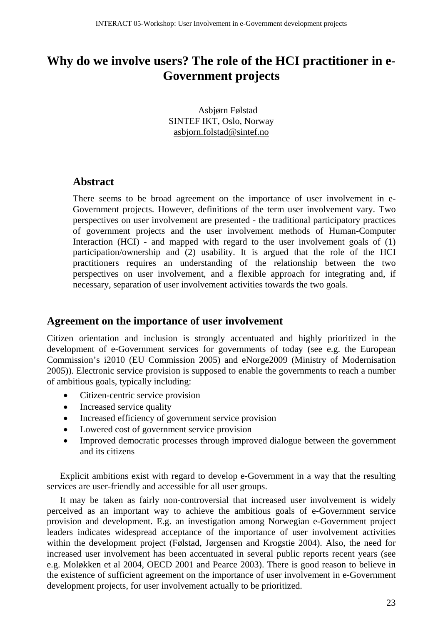## **Why do we involve users? The role of the HCI practitioner in e-Government projects**

Asbjørn Følstad SINTEF IKT, Oslo, Norway asbjorn.folstad@sintef.no

## **Abstract**

There seems to be broad agreement on the importance of user involvement in e-Government projects. However, definitions of the term user involvement vary. Two perspectives on user involvement are presented - the traditional participatory practices of government projects and the user involvement methods of Human-Computer Interaction (HCI) - and mapped with regard to the user involvement goals of (1) participation/ownership and (2) usability. It is argued that the role of the HCI practitioners requires an understanding of the relationship between the two perspectives on user involvement, and a flexible approach for integrating and, if necessary, separation of user involvement activities towards the two goals.

## **Agreement on the importance of user involvement**

Citizen orientation and inclusion is strongly accentuated and highly prioritized in the development of e-Government services for governments of today (see e.g. the European Commission's i2010 (EU Commission 2005) and eNorge2009 (Ministry of Modernisation 2005)). Electronic service provision is supposed to enable the governments to reach a number of ambitious goals, typically including:

- Citizen-centric service provision
- Increased service quality
- Increased efficiency of government service provision
- Lowered cost of government service provision
- Improved democratic processes through improved dialogue between the government and its citizens

Explicit ambitions exist with regard to develop e-Government in a way that the resulting services are user-friendly and accessible for all user groups.

It may be taken as fairly non-controversial that increased user involvement is widely perceived as an important way to achieve the ambitious goals of e-Government service provision and development. E.g. an investigation among Norwegian e-Government project leaders indicates widespread acceptance of the importance of user involvement activities within the development project (Følstad, Jørgensen and Krogstie 2004). Also, the need for increased user involvement has been accentuated in several public reports recent years (see e.g. Moløkken et al 2004, OECD 2001 and Pearce 2003). There is good reason to believe in the existence of sufficient agreement on the importance of user involvement in e-Government development projects, for user involvement actually to be prioritized.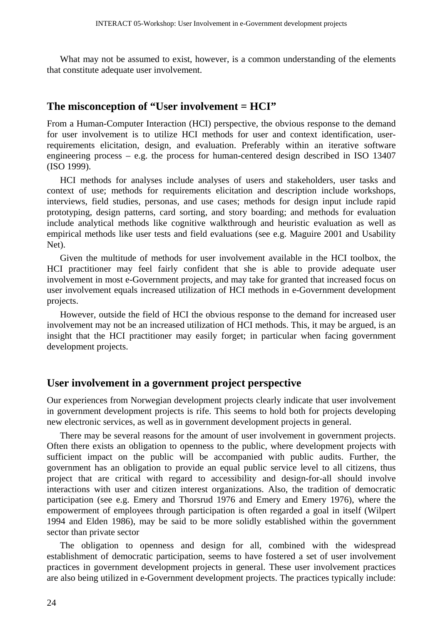What may not be assumed to exist, however, is a common understanding of the elements that constitute adequate user involvement.

#### **The misconception of "User involvement = HCI"**

From a Human-Computer Interaction (HCI) perspective, the obvious response to the demand for user involvement is to utilize HCI methods for user and context identification, userrequirements elicitation, design, and evaluation. Preferably within an iterative software engineering process – e.g. the process for human-centered design described in ISO 13407 (ISO 1999).

HCI methods for analyses include analyses of users and stakeholders, user tasks and context of use; methods for requirements elicitation and description include workshops, interviews, field studies, personas, and use cases; methods for design input include rapid prototyping, design patterns, card sorting, and story boarding; and methods for evaluation include analytical methods like cognitive walkthrough and heuristic evaluation as well as empirical methods like user tests and field evaluations (see e.g. Maguire 2001 and Usability Net).

Given the multitude of methods for user involvement available in the HCI toolbox, the HCI practitioner may feel fairly confident that she is able to provide adequate user involvement in most e-Government projects, and may take for granted that increased focus on user involvement equals increased utilization of HCI methods in e-Government development projects.

However, outside the field of HCI the obvious response to the demand for increased user involvement may not be an increased utilization of HCI methods. This, it may be argued, is an insight that the HCI practitioner may easily forget; in particular when facing government development projects.

#### **User involvement in a government project perspective**

Our experiences from Norwegian development projects clearly indicate that user involvement in government development projects is rife. This seems to hold both for projects developing new electronic services, as well as in government development projects in general.

There may be several reasons for the amount of user involvement in government projects. Often there exists an obligation to openness to the public, where development projects with sufficient impact on the public will be accompanied with public audits. Further, the government has an obligation to provide an equal public service level to all citizens, thus project that are critical with regard to accessibility and design-for-all should involve interactions with user and citizen interest organizations. Also, the tradition of democratic participation (see e.g. Emery and Thorsrud 1976 and Emery and Emery 1976), where the empowerment of employees through participation is often regarded a goal in itself (Wilpert 1994 and Elden 1986), may be said to be more solidly established within the government sector than private sector

The obligation to openness and design for all, combined with the widespread establishment of democratic participation, seems to have fostered a set of user involvement practices in government development projects in general. These user involvement practices are also being utilized in e-Government development projects. The practices typically include: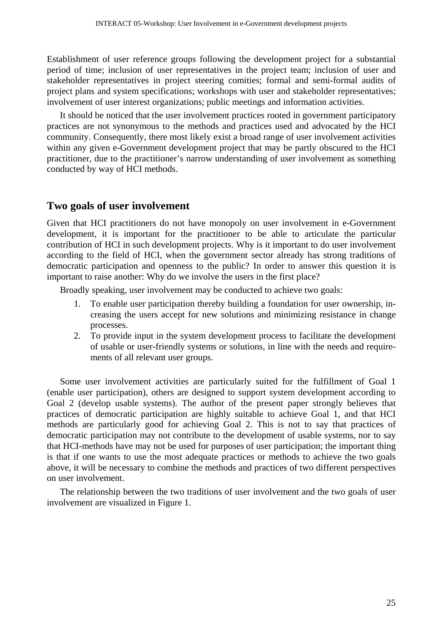Establishment of user reference groups following the development project for a substantial period of time; inclusion of user representatives in the project team; inclusion of user and stakeholder representatives in project steering comities; formal and semi-formal audits of project plans and system specifications; workshops with user and stakeholder representatives; involvement of user interest organizations; public meetings and information activities.

It should be noticed that the user involvement practices rooted in government participatory practices are not synonymous to the methods and practices used and advocated by the HCI community. Consequently, there most likely exist a broad range of user involvement activities within any given e-Government development project that may be partly obscured to the HCI practitioner, due to the practitioner's narrow understanding of user involvement as something conducted by way of HCI methods.

#### **Two goals of user involvement**

Given that HCI practitioners do not have monopoly on user involvement in e-Government development, it is important for the practitioner to be able to articulate the particular contribution of HCI in such development projects. Why is it important to do user involvement according to the field of HCI, when the government sector already has strong traditions of democratic participation and openness to the public? In order to answer this question it is important to raise another: Why do we involve the users in the first place?

Broadly speaking, user involvement may be conducted to achieve two goals:

- 1. To enable user participation thereby building a foundation for user ownership, increasing the users accept for new solutions and minimizing resistance in change processes.
- 2. To provide input in the system development process to facilitate the development of usable or user-friendly systems or solutions, in line with the needs and requirements of all relevant user groups.

Some user involvement activities are particularly suited for the fulfillment of Goal 1 (enable user participation), others are designed to support system development according to Goal 2 (develop usable systems). The author of the present paper strongly believes that practices of democratic participation are highly suitable to achieve Goal 1, and that HCI methods are particularly good for achieving Goal 2. This is not to say that practices of democratic participation may not contribute to the development of usable systems, nor to say that HCI-methods have may not be used for purposes of user participation; the important thing is that if one wants to use the most adequate practices or methods to achieve the two goals above, it will be necessary to combine the methods and practices of two different perspectives on user involvement.

The relationship between the two traditions of user involvement and the two goals of user involvement are visualized in Figure 1.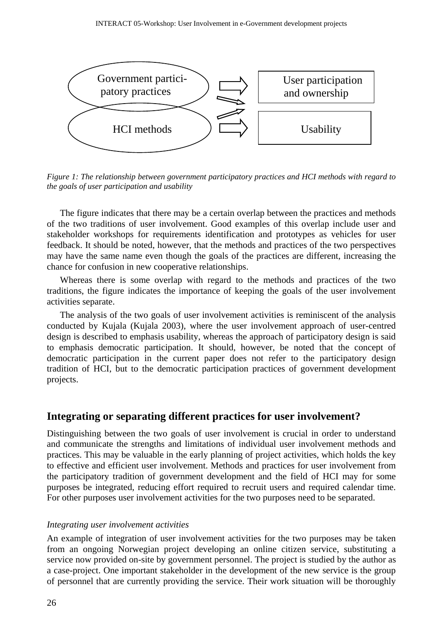

*Figure 1: The relationship between government participatory practices and HCI methods with regard to the goals of user participation and usability* 

The figure indicates that there may be a certain overlap between the practices and methods of the two traditions of user involvement. Good examples of this overlap include user and stakeholder workshops for requirements identification and prototypes as vehicles for user feedback. It should be noted, however, that the methods and practices of the two perspectives may have the same name even though the goals of the practices are different, increasing the chance for confusion in new cooperative relationships.

Whereas there is some overlap with regard to the methods and practices of the two traditions, the figure indicates the importance of keeping the goals of the user involvement activities separate.

The analysis of the two goals of user involvement activities is reminiscent of the analysis conducted by Kujala (Kujala 2003), where the user involvement approach of user-centred design is described to emphasis usability, whereas the approach of participatory design is said to emphasis democratic participation. It should, however, be noted that the concept of democratic participation in the current paper does not refer to the participatory design tradition of HCI, but to the democratic participation practices of government development projects.

#### **Integrating or separating different practices for user involvement?**

Distinguishing between the two goals of user involvement is crucial in order to understand and communicate the strengths and limitations of individual user involvement methods and practices. This may be valuable in the early planning of project activities, which holds the key to effective and efficient user involvement. Methods and practices for user involvement from the participatory tradition of government development and the field of HCI may for some purposes be integrated, reducing effort required to recruit users and required calendar time. For other purposes user involvement activities for the two purposes need to be separated.

#### *Integrating user involvement activities*

An example of integration of user involvement activities for the two purposes may be taken from an ongoing Norwegian project developing an online citizen service, substituting a service now provided on-site by government personnel. The project is studied by the author as a case-project. One important stakeholder in the development of the new service is the group of personnel that are currently providing the service. Their work situation will be thoroughly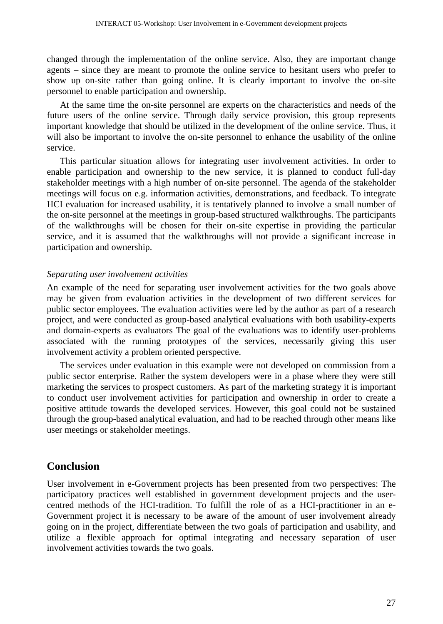changed through the implementation of the online service. Also, they are important change agents – since they are meant to promote the online service to hesitant users who prefer to show up on-site rather than going online. It is clearly important to involve the on-site personnel to enable participation and ownership.

At the same time the on-site personnel are experts on the characteristics and needs of the future users of the online service. Through daily service provision, this group represents important knowledge that should be utilized in the development of the online service. Thus, it will also be important to involve the on-site personnel to enhance the usability of the online service.

This particular situation allows for integrating user involvement activities. In order to enable participation and ownership to the new service, it is planned to conduct full-day stakeholder meetings with a high number of on-site personnel. The agenda of the stakeholder meetings will focus on e.g. information activities, demonstrations, and feedback. To integrate HCI evaluation for increased usability, it is tentatively planned to involve a small number of the on-site personnel at the meetings in group-based structured walkthroughs. The participants of the walkthroughs will be chosen for their on-site expertise in providing the particular service, and it is assumed that the walkthroughs will not provide a significant increase in participation and ownership.

#### *Separating user involvement activities*

An example of the need for separating user involvement activities for the two goals above may be given from evaluation activities in the development of two different services for public sector employees. The evaluation activities were led by the author as part of a research project, and were conducted as group-based analytical evaluations with both usability-experts and domain-experts as evaluators The goal of the evaluations was to identify user-problems associated with the running prototypes of the services, necessarily giving this user involvement activity a problem oriented perspective.

The services under evaluation in this example were not developed on commission from a public sector enterprise. Rather the system developers were in a phase where they were still marketing the services to prospect customers. As part of the marketing strategy it is important to conduct user involvement activities for participation and ownership in order to create a positive attitude towards the developed services. However, this goal could not be sustained through the group-based analytical evaluation, and had to be reached through other means like user meetings or stakeholder meetings.

#### **Conclusion**

User involvement in e-Government projects has been presented from two perspectives: The participatory practices well established in government development projects and the usercentred methods of the HCI-tradition. To fulfill the role of as a HCI-practitioner in an e-Government project it is necessary to be aware of the amount of user involvement already going on in the project, differentiate between the two goals of participation and usability, and utilize a flexible approach for optimal integrating and necessary separation of user involvement activities towards the two goals.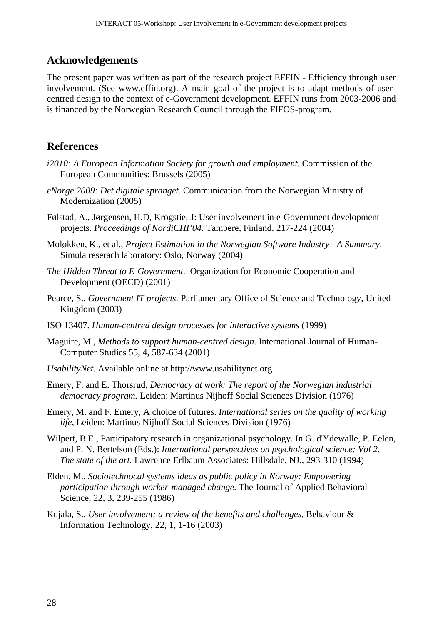## **Acknowledgements**

The present paper was written as part of the research project EFFIN - Efficiency through user involvement. (See www.effin.org). A main goal of the project is to adapt methods of usercentred design to the context of e-Government development. EFFIN runs from 2003-2006 and is financed by the Norwegian Research Council through the FIFOS-program.

## **References**

- *i2010: A European Information Society for growth and employment.* Commission of the European Communities: Brussels (2005)
- *eNorge 2009: Det digitale spranget.* Communication from the Norwegian Ministry of Modernization (2005)
- Følstad, A., Jørgensen, H.D, Krogstie, J: User involvement in e-Government development projects. *Proceedings of NordiCHI'04*. Tampere, Finland. 217-224 (2004)
- Moløkken, K., et al., *Project Estimation in the Norwegian Software Industry A Summary*. Simula reserach laboratory: Oslo, Norway (2004)
- *The Hidden Threat to E-Government.* Organization for Economic Cooperation and Development (OECD) (2001)
- Pearce, S., *Government IT projects.* Parliamentary Office of Science and Technology, United Kingdom (2003)
- ISO 13407. *Human-centred design processes for interactive systems* (1999)
- Maguire, M., *Methods to support human-centred design*. International Journal of Human-Computer Studies 55, 4, 587-634 (2001)
- *UsabilityNet*. Available online at http://www.usabilitynet.org
- Emery, F. and E. Thorsrud, *Democracy at work: The report of the Norwegian industrial democracy program.* Leiden: Martinus Nijhoff Social Sciences Division (1976)
- Emery, M. and F. Emery, A choice of futures. *International series on the quality of working life*, Leiden: Martinus Nijhoff Social Sciences Division (1976)
- Wilpert, B.E., Participatory research in organizational psychology. In G. d'Ydewalle, P. Eelen, and P. N. Bertelson (Eds.): *International perspectives on psychological science: Vol 2. The state of the art.* Lawrence Erlbaum Associates: Hillsdale, NJ., 293-310 (1994)
- Elden, M., *Sociotechnocal systems ideas as public policy in Norway: Empowering participation through worker-managed change.* The Journal of Applied Behavioral Science, 22, 3, 239-255 (1986)
- Kujala, S., *User involvement: a review of the benefits and challenges*, Behaviour & Information Technology, 22, 1, 1-16 (2003)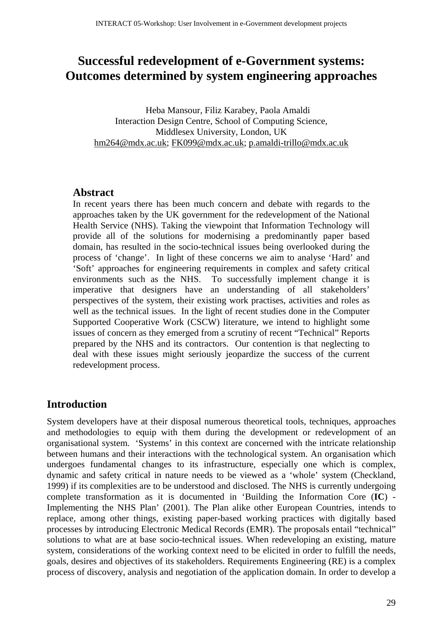## **Successful redevelopment of e-Government systems: Outcomes determined by system engineering approaches**

Heba Mansour, Filiz Karabey, Paola Amaldi Interaction Design Centre, School of Computing Science, Middlesex University, London, UK hm264@mdx.ac.uk; FK099@mdx.ac.uk; p.amaldi-trillo@mdx.ac.uk

## **Abstract**

In recent years there has been much concern and debate with regards to the approaches taken by the UK government for the redevelopment of the National Health Service (NHS). Taking the viewpoint that Information Technology will provide all of the solutions for modernising a predominantly paper based domain, has resulted in the socio-technical issues being overlooked during the process of 'change'. In light of these concerns we aim to analyse 'Hard' and 'Soft' approaches for engineering requirements in complex and safety critical environments such as the NHS. To successfully implement change it is imperative that designers have an understanding of all stakeholders' perspectives of the system, their existing work practises, activities and roles as well as the technical issues. In the light of recent studies done in the Computer Supported Cooperative Work (CSCW) literature, we intend to highlight some issues of concern as they emerged from a scrutiny of recent "Technical" Reports prepared by the NHS and its contractors. Our contention is that neglecting to deal with these issues might seriously jeopardize the success of the current redevelopment process.

## **Introduction**

System developers have at their disposal numerous theoretical tools, techniques, approaches and methodologies to equip with them during the development or redevelopment of an organisational system. 'Systems' in this context are concerned with the intricate relationship between humans and their interactions with the technological system. An organisation which undergoes fundamental changes to its infrastructure, especially one which is complex, dynamic and safety critical in nature needs to be viewed as a 'whole' system (Checkland, 1999) if its complexities are to be understood and disclosed. The NHS is currently undergoing complete transformation as it is documented in 'Building the Information Core (**IC**) - Implementing the NHS Plan' (2001). The Plan alike other European Countries, intends to replace, among other things, existing paper-based working practices with digitally based processes by introducing Electronic Medical Records (EMR). The proposals entail "technical" solutions to what are at base socio-technical issues. When redeveloping an existing, mature system, considerations of the working context need to be elicited in order to fulfill the needs, goals, desires and objectives of its stakeholders. Requirements Engineering (RE) is a complex process of discovery, analysis and negotiation of the application domain. In order to develop a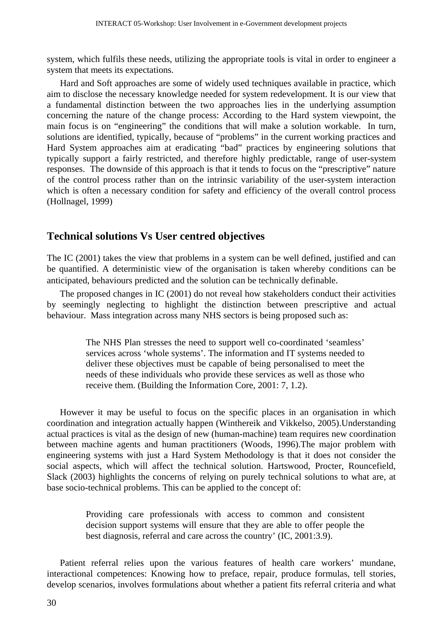system, which fulfils these needs, utilizing the appropriate tools is vital in order to engineer a system that meets its expectations.

Hard and Soft approaches are some of widely used techniques available in practice, which aim to disclose the necessary knowledge needed for system redevelopment. It is our view that a fundamental distinction between the two approaches lies in the underlying assumption concerning the nature of the change process: According to the Hard system viewpoint, the main focus is on "engineering" the conditions that will make a solution workable. In turn, solutions are identified, typically, because of "problems" in the current working practices and Hard System approaches aim at eradicating "bad" practices by engineering solutions that typically support a fairly restricted, and therefore highly predictable, range of user-system responses. The downside of this approach is that it tends to focus on the "prescriptive" nature of the control process rather than on the intrinsic variability of the user-system interaction which is often a necessary condition for safety and efficiency of the overall control process (Hollnagel, 1999)

#### **Technical solutions Vs User centred objectives**

The IC (2001) takes the view that problems in a system can be well defined, justified and can be quantified. A deterministic view of the organisation is taken whereby conditions can be anticipated, behaviours predicted and the solution can be technically definable.

The proposed changes in IC (2001) do not reveal how stakeholders conduct their activities by seemingly neglecting to highlight the distinction between prescriptive and actual behaviour. Mass integration across many NHS sectors is being proposed such as:

> The NHS Plan stresses the need to support well co-coordinated 'seamless' services across 'whole systems'. The information and IT systems needed to deliver these objectives must be capable of being personalised to meet the needs of these individuals who provide these services as well as those who receive them. (Building the Information Core, 2001: 7, 1.2).

However it may be useful to focus on the specific places in an organisation in which coordination and integration actually happen (Winthereik and Vikkelso, 2005).Understanding actual practices is vital as the design of new (human-machine) team requires new coordination between machine agents and human practitioners (Woods, 1996).The major problem with engineering systems with just a Hard System Methodology is that it does not consider the social aspects, which will affect the technical solution. Hartswood, Procter, Rouncefield, Slack (2003) highlights the concerns of relying on purely technical solutions to what are, at base socio-technical problems. This can be applied to the concept of:

> Providing care professionals with access to common and consistent decision support systems will ensure that they are able to offer people the best diagnosis, referral and care across the country' (IC, 2001:3.9).

Patient referral relies upon the various features of health care workers' mundane, interactional competences: Knowing how to preface, repair, produce formulas, tell stories, develop scenarios, involves formulations about whether a patient fits referral criteria and what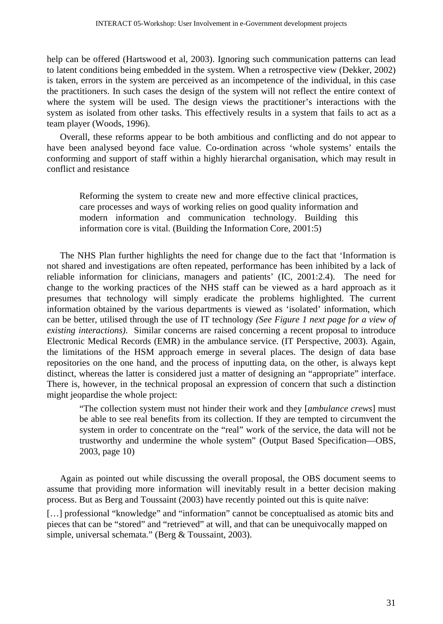help can be offered (Hartswood et al, 2003). Ignoring such communication patterns can lead to latent conditions being embedded in the system. When a retrospective view (Dekker, 2002) is taken, errors in the system are perceived as an incompetence of the individual, in this case the practitioners. In such cases the design of the system will not reflect the entire context of where the system will be used. The design views the practitioner's interactions with the system as isolated from other tasks. This effectively results in a system that fails to act as a team player (Woods, 1996).

Overall, these reforms appear to be both ambitious and conflicting and do not appear to have been analysed beyond face value. Co-ordination across 'whole systems' entails the conforming and support of staff within a highly hierarchal organisation, which may result in conflict and resistance

Reforming the system to create new and more effective clinical practices, care processes and ways of working relies on good quality information and modern information and communication technology. Building this information core is vital. (Building the Information Core, 2001:5)

The NHS Plan further highlights the need for change due to the fact that 'Information is not shared and investigations are often repeated, performance has been inhibited by a lack of reliable information for clinicians, managers and patients' (IC, 2001:2.4). The need for change to the working practices of the NHS staff can be viewed as a hard approach as it presumes that technology will simply eradicate the problems highlighted. The current information obtained by the various departments is viewed as 'isolated' information, which can be better, utilised through the use of IT technology *(See Figure 1 next page for a view of existing interactions)*. Similar concerns are raised concerning a recent proposal to introduce Electronic Medical Records (EMR) in the ambulance service. (IT Perspective, 2003). Again, the limitations of the HSM approach emerge in several places. The design of data base repositories on the one hand, and the process of inputting data, on the other, is always kept distinct, whereas the latter is considered just a matter of designing an "appropriate" interface. There is, however, in the technical proposal an expression of concern that such a distinction might jeopardise the whole project:

"The collection system must not hinder their work and they [*ambulance crews*] must be able to see real benefits from its collection. If they are tempted to circumvent the system in order to concentrate on the "real" work of the service, the data will not be trustworthy and undermine the whole system" (Output Based Specification—OBS, 2003, page 10)

Again as pointed out while discussing the overall proposal, the OBS document seems to assume that providing more information will inevitably result in a better decision making process. But as Berg and Toussaint (2003) have recently pointed out this is quite naïve:

[...] professional "knowledge" and "information" cannot be conceptualised as atomic bits and pieces that can be "stored" and "retrieved" at will, and that can be unequivocally mapped on simple, universal schemata." (Berg & Toussaint, 2003).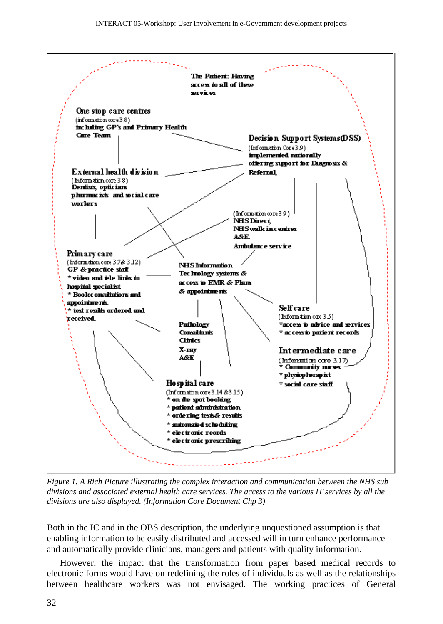

*Figure 1. A Rich Picture illustrating the complex interaction and communication between the NHS sub divisions and associated external health care services. The access to the various IT services by all the divisions are also displayed. (Information Core Document Chp 3)* 

Both in the IC and in the OBS description, the underlying unquestioned assumption is that enabling information to be easily distributed and accessed will in turn enhance performance and automatically provide clinicians, managers and patients with quality information.

However, the impact that the transformation from paper based medical records to electronic forms would have on redefining the roles of individuals as well as the relationships between healthcare workers was not envisaged. The working practices of General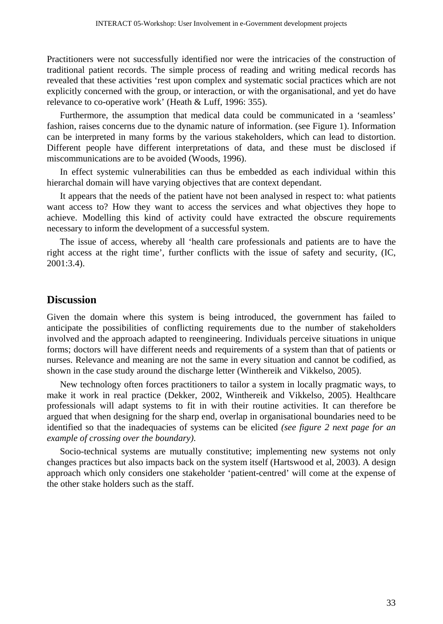Practitioners were not successfully identified nor were the intricacies of the construction of traditional patient records. The simple process of reading and writing medical records has revealed that these activities 'rest upon complex and systematic social practices which are not explicitly concerned with the group, or interaction, or with the organisational, and yet do have relevance to co-operative work' (Heath & Luff, 1996: 355).

Furthermore, the assumption that medical data could be communicated in a 'seamless' fashion, raises concerns due to the dynamic nature of information. (see Figure 1). Information can be interpreted in many forms by the various stakeholders, which can lead to distortion. Different people have different interpretations of data, and these must be disclosed if miscommunications are to be avoided (Woods, 1996).

In effect systemic vulnerabilities can thus be embedded as each individual within this hierarchal domain will have varying objectives that are context dependant.

It appears that the needs of the patient have not been analysed in respect to: what patients want access to? How they want to access the services and what objectives they hope to achieve. Modelling this kind of activity could have extracted the obscure requirements necessary to inform the development of a successful system.

The issue of access, whereby all 'health care professionals and patients are to have the right access at the right time', further conflicts with the issue of safety and security, (IC, 2001:3.4).

#### **Discussion**

Given the domain where this system is being introduced, the government has failed to anticipate the possibilities of conflicting requirements due to the number of stakeholders involved and the approach adapted to reengineering. Individuals perceive situations in unique forms; doctors will have different needs and requirements of a system than that of patients or nurses. Relevance and meaning are not the same in every situation and cannot be codified, as shown in the case study around the discharge letter (Winthereik and Vikkelso, 2005).

New technology often forces practitioners to tailor a system in locally pragmatic ways, to make it work in real practice (Dekker, 2002, Winthereik and Vikkelso, 2005). Healthcare professionals will adapt systems to fit in with their routine activities. It can therefore be argued that when designing for the sharp end, overlap in organisational boundaries need to be identified so that the inadequacies of systems can be elicited *(see figure 2 next page for an example of crossing over the boundary)*.

Socio-technical systems are mutually constitutive; implementing new systems not only changes practices but also impacts back on the system itself (Hartswood et al, 2003). A design approach which only considers one stakeholder 'patient-centred' will come at the expense of the other stake holders such as the staff.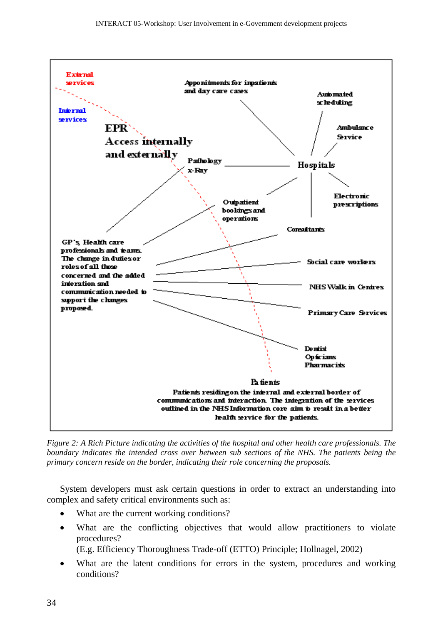

*Figure 2: A Rich Picture indicating the activities of the hospital and other health care professionals. The boundary indicates the intended cross over between sub sections of the NHS. The patients being the primary concern reside on the border, indicating their role concerning the proposals.* 

System developers must ask certain questions in order to extract an understanding into complex and safety critical environments such as:

- What are the current working conditions?
- What are the conflicting objectives that would allow practitioners to violate procedures?

(E.g. Efficiency Thoroughness Trade-off (ETTO) Principle; Hollnagel, 2002)

What are the latent conditions for errors in the system, procedures and working conditions?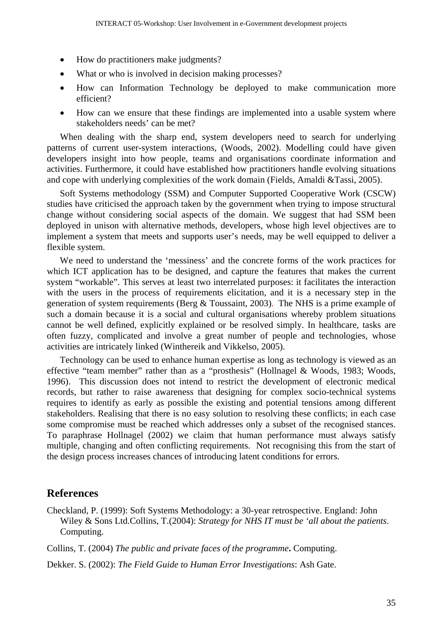- How do practitioners make judgments?
- What or who is involved in decision making processes?
- How can Information Technology be deployed to make communication more efficient?
- How can we ensure that these findings are implemented into a usable system where stakeholders needs' can be met?

When dealing with the sharp end, system developers need to search for underlying patterns of current user-system interactions, (Woods, 2002). Modelling could have given developers insight into how people, teams and organisations coordinate information and activities. Furthermore, it could have established how practitioners handle evolving situations and cope with underlying complexities of the work domain (Fields, Amaldi &Tassi, 2005).

Soft Systems methodology (SSM) and Computer Supported Cooperative Work (CSCW) studies have criticised the approach taken by the government when trying to impose structural change without considering social aspects of the domain. We suggest that had SSM been deployed in unison with alternative methods, developers, whose high level objectives are to implement a system that meets and supports user's needs, may be well equipped to deliver a flexible system.

We need to understand the 'messiness' and the concrete forms of the work practices for which ICT application has to be designed, and capture the features that makes the current system "workable". This serves at least two interrelated purposes: it facilitates the interaction with the users in the process of requirements elicitation, and it is a necessary step in the generation of system requirements (Berg & Toussaint, 2003). The NHS is a prime example of such a domain because it is a social and cultural organisations whereby problem situations cannot be well defined, explicitly explained or be resolved simply. In healthcare, tasks are often fuzzy, complicated and involve a great number of people and technologies, whose activities are intricately linked (Winthereik and Vikkelso, 2005).

Technology can be used to enhance human expertise as long as technology is viewed as an effective "team member" rather than as a "prosthesis" (Hollnagel & Woods, 1983; Woods, 1996). This discussion does not intend to restrict the development of electronic medical records, but rather to raise awareness that designing for complex socio-technical systems requires to identify as early as possible the existing and potential tensions among different stakeholders. Realising that there is no easy solution to resolving these conflicts; in each case some compromise must be reached which addresses only a subset of the recognised stances. To paraphrase Hollnagel (2002) we claim that human performance must always satisfy multiple, changing and often conflicting requirements. Not recognising this from the start of the design process increases chances of introducing latent conditions for errors.

## **References**

Checkland, P. (1999): Soft Systems Methodology: a 30-year retrospective. England: John Wiley & Sons Ltd.Collins, T.(2004): *Strategy for NHS IT must be 'all about the patients*. Computing.

Collins, T. (2004) *The public and private faces of the programme***.** Computing.

Dekker. S. (2002): *The Field Guide to Human Error Investigations*: Ash Gate.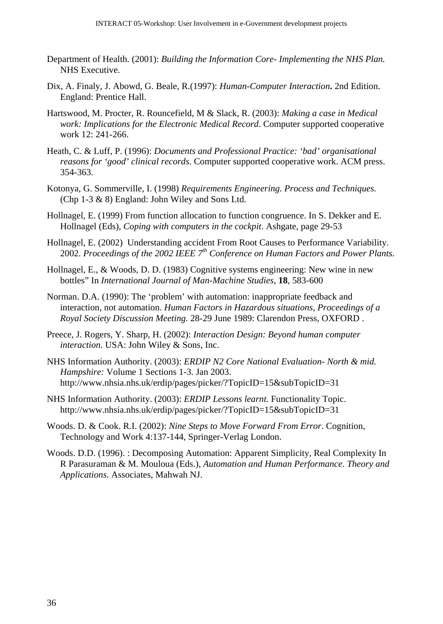- Department of Health. (2001): *Building the Information Core- Implementing the NHS Plan.* NHS Executive.
- Dix, A. Finaly, J. Abowd, G. Beale, R.(1997): *Human-Computer Interaction***.** 2nd Edition. England: Prentice Hall.
- Hartswood, M. Procter, R. Rouncefield, M & Slack, R. (2003): *Making a case in Medical work: Implications for the Electronic Medical Record*. Computer supported cooperative work 12: 241-266.
- Heath, C. & Luff, P. (1996): *Documents and Professional Practice: 'bad' organisational reasons for 'good' clinical records*. Computer supported cooperative work. ACM press. 354-363.
- Kotonya, G. Sommerville, I. (1998) *Requirements Engineering. Process and Techniques.* (Chp 1-3 & 8) England: John Wiley and Sons Ltd.
- Hollnagel, E. (1999) From function allocation to function congruence. In S. Dekker and E. Hollnagel (Eds), *Coping with computers in the cockpit*. Ashgate, page 29-53
- Hollnagel, E. (2002) Understanding accident From Root Causes to Performance Variability. 2002. *Proceedings of the 2002 IEEE 7th Conference on Human Factors and Power Plants*.
- Hollnagel, E., & Woods, D. D. (1983) Cognitive systems engineering: New wine in new bottles" In *International Journal of Man-Machine Studies*, **18**, 583-600
- Norman. D.A. (1990): The 'problem' with automation: inappropriate feedback and interaction, not automation. *Human Factors in Hazardous situations, Proceedings of a Royal Society Discussion Meeting.* 28-29 June 1989: Clarendon Press, OXFORD .
- Preece, J. Rogers, Y. Sharp, H. (2002): *Interaction Design: Beyond human computer interaction.* USA: John Wiley & Sons, Inc.
- NHS Information Authority. (2003): *ERDIP N2 Core National Evaluation- North & mid. Hampshire:* Volume 1 Sections 1-3. Jan 2003. http://www.nhsia.nhs.uk/erdip/pages/picker/?TopicID=15&subTopicID=31
- NHS Information Authority. (2003): *ERDIP Lessons learnt.* Functionality Topic. http://www.nhsia.nhs.uk/erdip/pages/picker/?TopicID=15&subTopicID=31
- Woods. D. & Cook. R.I. (2002): *Nine Steps to Move Forward From Error*. Cognition, Technology and Work 4:137-144, Springer-Verlag London.
- Woods. D.D. (1996). : Decomposing Automation: Apparent Simplicity, Real Complexity In R Parasuraman & M. Mouloua (Eds.), *Automation and Human Performance. Theory and Applications*. Associates, Mahwah NJ.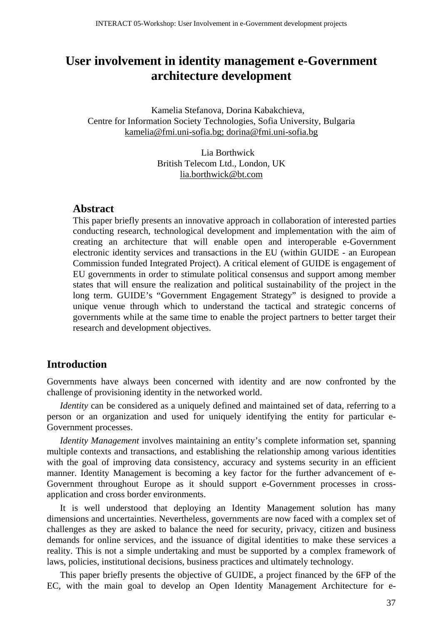# **User involvement in identity management e-Government architecture development**

Kamelia Stefanova, Dorina Kabakchieva, Centre for Information Society Technologies, Sofia University, Bulgaria kamelia@fmi.uni-sofia.bg; dorina@fmi.uni-sofia.bg

> Lia Borthwick British Telecom Ltd., London, UK lia.borthwick@bt.com

## **Abstract**

This paper briefly presents an innovative approach in collaboration of interested parties conducting research, technological development and implementation with the aim of creating an architecture that will enable open and interoperable e-Government electronic identity services and transactions in the EU (within GUIDE - an European Commission funded Integrated Project). A critical element of GUIDE is engagement of EU governments in order to stimulate political consensus and support among member states that will ensure the realization and political sustainability of the project in the long term. GUIDE's "Government Engagement Strategy" is designed to provide a unique venue through which to understand the tactical and strategic concerns of governments while at the same time to enable the project partners to better target their research and development objectives.

## **Introduction**

Governments have always been concerned with identity and are now confronted by the challenge of provisioning identity in the networked world.

*Identity* can be considered as a uniquely defined and maintained set of data, referring to a person or an organization and used for uniquely identifying the entity for particular e-Government processes.

*Identity Management* involves maintaining an entity's complete information set, spanning multiple contexts and transactions, and establishing the relationship among various identities with the goal of improving data consistency, accuracy and systems security in an efficient manner. Identity Management is becoming a key factor for the further advancement of e-Government throughout Europe as it should support e-Government processes in crossapplication and cross border environments.

It is well understood that deploying an Identity Management solution has many dimensions and uncertainties. Nevertheless, governments are now faced with a complex set of challenges as they are asked to balance the need for security, privacy, citizen and business demands for online services, and the issuance of digital identities to make these services a reality. This is not a simple undertaking and must be supported by a complex framework of laws, policies, institutional decisions, business practices and ultimately technology.

This paper briefly presents the objective of GUIDE, a project financed by the 6FP of the EC, with the main goal to develop an Open Identity Management Architecture for e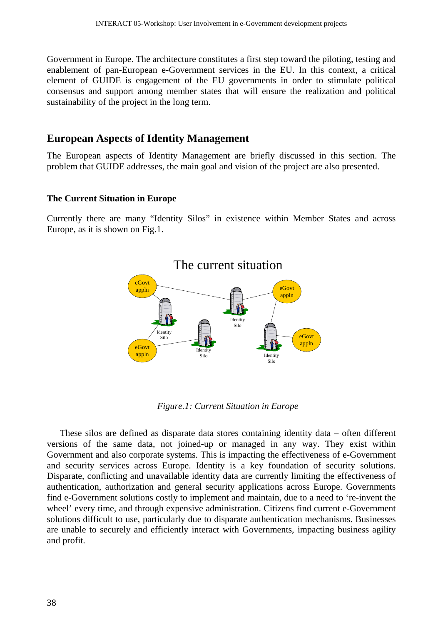Government in Europe. The architecture constitutes a first step toward the piloting, testing and enablement of pan-European e-Government services in the EU. In this context, a critical element of GUIDE is engagement of the EU governments in order to stimulate political consensus and support among member states that will ensure the realization and political sustainability of the project in the long term.

# **European Aspects of Identity Management**

The European aspects of Identity Management are briefly discussed in this section. The problem that GUIDE addresses, the main goal and vision of the project are also presented.

#### **The Current Situation in Europe**

Currently there are many "Identity Silos" in existence within Member States and across Europe, as it is shown on Fig.1.



*Figure.1: Current Situation in Europe* 

These silos are defined as disparate data stores containing identity data – often different versions of the same data, not joined-up or managed in any way. They exist within Government and also corporate systems. This is impacting the effectiveness of e-Government and security services across Europe. Identity is a key foundation of security solutions. Disparate, conflicting and unavailable identity data are currently limiting the effectiveness of authentication, authorization and general security applications across Europe. Governments find e-Government solutions costly to implement and maintain, due to a need to 're-invent the wheel' every time, and through expensive administration. Citizens find current e-Government solutions difficult to use, particularly due to disparate authentication mechanisms. Businesses are unable to securely and efficiently interact with Governments, impacting business agility and profit.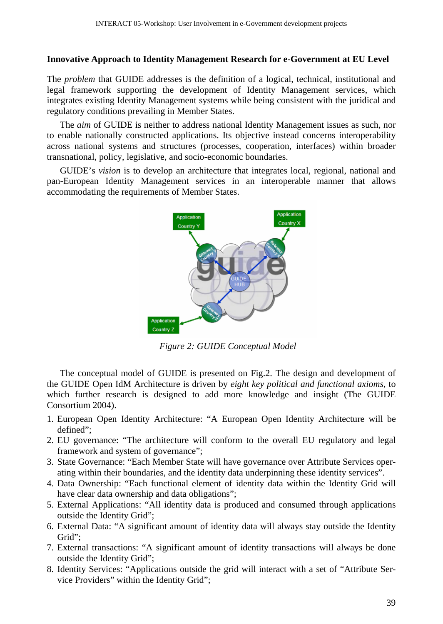### **Innovative Approach to Identity Management Research for e-Government at EU Level**

The *problem* that GUIDE addresses is the definition of a logical, technical, institutional and legal framework supporting the development of Identity Management services, which integrates existing Identity Management systems while being consistent with the juridical and regulatory conditions prevailing in Member States.

The *aim* of GUIDE is neither to address national Identity Management issues as such, nor to enable nationally constructed applications. Its objective instead concerns interoperability across national systems and structures (processes, cooperation, interfaces) within broader transnational, policy, legislative, and socio-economic boundaries.

GUIDE's *vision* is to develop an architecture that integrates local, regional, national and pan-European Identity Management services in an interoperable manner that allows accommodating the requirements of Member States.



*Figure 2: GUIDE Conceptual Model* 

The conceptual model of GUIDE is presented on Fig.2. The design and development of the GUIDE Open IdM Architecture is driven by *eight key political and functional axioms*, to which further research is designed to add more knowledge and insight (The GUIDE Consortium 2004).

- 1. European Open Identity Architecture: "A European Open Identity Architecture will be defined";
- 2. EU governance: "The architecture will conform to the overall EU regulatory and legal framework and system of governance";
- 3. State Governance: "Each Member State will have governance over Attribute Services operating within their boundaries, and the identity data underpinning these identity services".
- 4. Data Ownership: "Each functional element of identity data within the Identity Grid will have clear data ownership and data obligations";
- 5. External Applications: "All identity data is produced and consumed through applications outside the Identity Grid";
- 6. External Data: "A significant amount of identity data will always stay outside the Identity Grid";
- 7. External transactions: "A significant amount of identity transactions will always be done outside the Identity Grid";
- 8. Identity Services: "Applications outside the grid will interact with a set of "Attribute Service Providers" within the Identity Grid";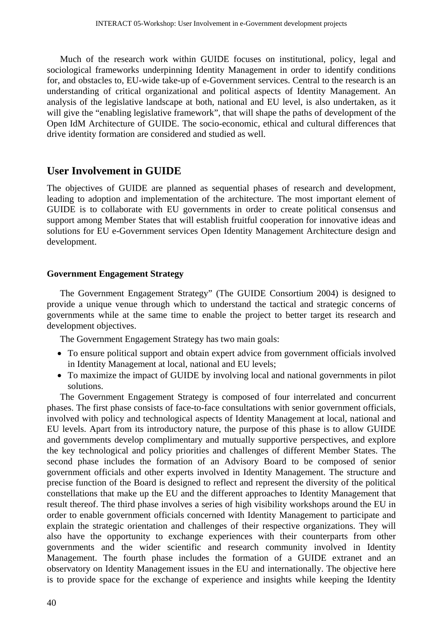Much of the research work within GUIDE focuses on institutional, policy, legal and sociological frameworks underpinning Identity Management in order to identify conditions for, and obstacles to, EU-wide take-up of e-Government services. Central to the research is an understanding of critical organizational and political aspects of Identity Management. An analysis of the legislative landscape at both, national and EU level, is also undertaken, as it will give the "enabling legislative framework", that will shape the paths of development of the Open IdM Architecture of GUIDE. The socio-economic, ethical and cultural differences that drive identity formation are considered and studied as well.

### **User Involvement in GUIDE**

The objectives of GUIDE are planned as sequential phases of research and development, leading to adoption and implementation of the architecture. The most important element of GUIDE is to collaborate with EU governments in order to create political consensus and support among Member States that will establish fruitful cooperation for innovative ideas and solutions for EU e-Government services Open Identity Management Architecture design and development.

#### **Government Engagement Strategy**

The Government Engagement Strategy" (The GUIDE Consortium 2004) is designed to provide a unique venue through which to understand the tactical and strategic concerns of governments while at the same time to enable the project to better target its research and development objectives.

The Government Engagement Strategy has two main goals:

- To ensure political support and obtain expert advice from government officials involved in Identity Management at local, national and EU levels;
- To maximize the impact of GUIDE by involving local and national governments in pilot solutions.

The Government Engagement Strategy is composed of four interrelated and concurrent phases. The first phase consists of face-to-face consultations with senior government officials, involved with policy and technological aspects of Identity Management at local, national and EU levels. Apart from its introductory nature, the purpose of this phase is to allow GUIDE and governments develop complimentary and mutually supportive perspectives, and explore the key technological and policy priorities and challenges of different Member States. The second phase includes the formation of an Advisory Board to be composed of senior government officials and other experts involved in Identity Management. The structure and precise function of the Board is designed to reflect and represent the diversity of the political constellations that make up the EU and the different approaches to Identity Management that result thereof. The third phase involves a series of high visibility workshops around the EU in order to enable government officials concerned with Identity Management to participate and explain the strategic orientation and challenges of their respective organizations. They will also have the opportunity to exchange experiences with their counterparts from other governments and the wider scientific and research community involved in Identity Management. The fourth phase includes the formation of a GUIDE extranet and an observatory on Identity Management issues in the EU and internationally. The objective here is to provide space for the exchange of experience and insights while keeping the Identity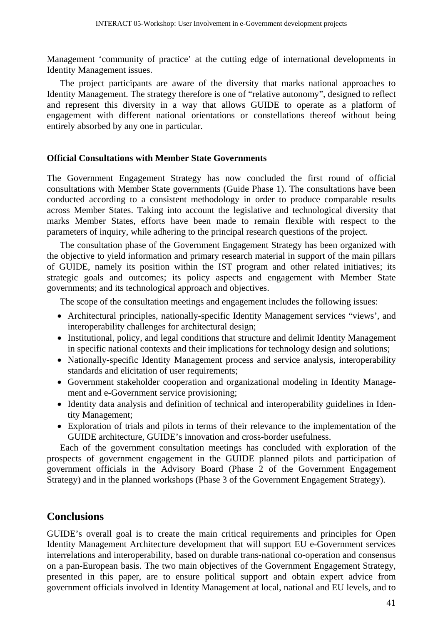Management 'community of practice' at the cutting edge of international developments in Identity Management issues.

The project participants are aware of the diversity that marks national approaches to Identity Management. The strategy therefore is one of "relative autonomy", designed to reflect and represent this diversity in a way that allows GUIDE to operate as a platform of engagement with different national orientations or constellations thereof without being entirely absorbed by any one in particular.

### **Official Consultations with Member State Governments**

The Government Engagement Strategy has now concluded the first round of official consultations with Member State governments (Guide Phase 1). The consultations have been conducted according to a consistent methodology in order to produce comparable results across Member States. Taking into account the legislative and technological diversity that marks Member States, efforts have been made to remain flexible with respect to the parameters of inquiry, while adhering to the principal research questions of the project.

The consultation phase of the Government Engagement Strategy has been organized with the objective to yield information and primary research material in support of the main pillars of GUIDE, namely its position within the IST program and other related initiatives; its strategic goals and outcomes; its policy aspects and engagement with Member State governments; and its technological approach and objectives.

The scope of the consultation meetings and engagement includes the following issues:

- Architectural principles, nationally-specific Identity Management services "views', and interoperability challenges for architectural design;
- Institutional, policy, and legal conditions that structure and delimit Identity Management in specific national contexts and their implications for technology design and solutions;
- Nationally-specific Identity Management process and service analysis, interoperability standards and elicitation of user requirements;
- Government stakeholder cooperation and organizational modeling in Identity Management and e-Government service provisioning;
- Identity data analysis and definition of technical and interoperability guidelines in Identity Management;
- Exploration of trials and pilots in terms of their relevance to the implementation of the GUIDE architecture, GUIDE's innovation and cross-border usefulness.

Each of the government consultation meetings has concluded with exploration of the prospects of government engagement in the GUIDE planned pilots and participation of government officials in the Advisory Board (Phase 2 of the Government Engagement Strategy) and in the planned workshops (Phase 3 of the Government Engagement Strategy).

# **Conclusions**

GUIDE's overall goal is to create the main critical requirements and principles for Open Identity Management Architecture development that will support EU e-Government services interrelations and interoperability, based on durable trans-national co-operation and consensus on a pan-European basis. The two main objectives of the Government Engagement Strategy, presented in this paper, are to ensure political support and obtain expert advice from government officials involved in Identity Management at local, national and EU levels, and to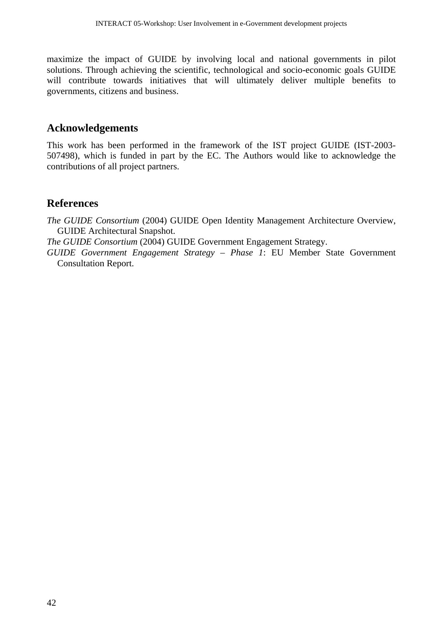maximize the impact of GUIDE by involving local and national governments in pilot solutions. Through achieving the scientific, technological and socio-economic goals GUIDE will contribute towards initiatives that will ultimately deliver multiple benefits to governments, citizens and business.

# **Acknowledgements**

This work has been performed in the framework of the IST project GUIDE (IST-2003- 507498), which is funded in part by the EC. The Authors would like to acknowledge the contributions of all project partners.

# **References**

*The GUIDE Consortium* (2004) GUIDE Open Identity Management Architecture Overview, GUIDE Architectural Snapshot.

*The GUIDE Consortium* (2004) GUIDE Government Engagement Strategy.

*GUIDE Government Engagement Strategy – Phase 1*: EU Member State Government Consultation Report.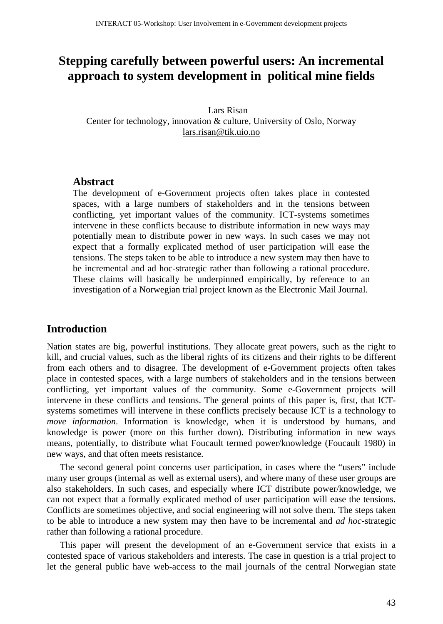# **Stepping carefully between powerful users: An incremental approach to system development in political mine fields**

Lars Risan Center for technology, innovation & culture, University of Oslo, Norway lars.risan@tik.uio.no

### **Abstract**

The development of e-Government projects often takes place in contested spaces, with a large numbers of stakeholders and in the tensions between conflicting, yet important values of the community. ICT-systems sometimes intervene in these conflicts because to distribute information in new ways may potentially mean to distribute power in new ways. In such cases we may not expect that a formally explicated method of user participation will ease the tensions. The steps taken to be able to introduce a new system may then have to be incremental and ad hoc-strategic rather than following a rational procedure. These claims will basically be underpinned empirically, by reference to an investigation of a Norwegian trial project known as the Electronic Mail Journal.

## **Introduction**

Nation states are big, powerful institutions. They allocate great powers, such as the right to kill, and crucial values, such as the liberal rights of its citizens and their rights to be different from each others and to disagree. The development of e-Government projects often takes place in contested spaces, with a large numbers of stakeholders and in the tensions between conflicting, yet important values of the community. Some e-Government projects will intervene in these conflicts and tensions. The general points of this paper is, first, that ICTsystems sometimes will intervene in these conflicts precisely because ICT is a technology to *move information*. Information is knowledge, when it is understood by humans, and knowledge is power (more on this further down). Distributing information in new ways means, potentially, to distribute what Foucault termed power/knowledge (Foucault 1980) in new ways, and that often meets resistance.

The second general point concerns user participation, in cases where the "users" include many user groups (internal as well as external users), and where many of these user groups are also stakeholders. In such cases, and especially where ICT distribute power/knowledge, we can not expect that a formally explicated method of user participation will ease the tensions. Conflicts are sometimes objective, and social engineering will not solve them. The steps taken to be able to introduce a new system may then have to be incremental and *ad hoc-*strategic rather than following a rational procedure.

This paper will present the development of an e-Government service that exists in a contested space of various stakeholders and interests. The case in question is a trial project to let the general public have web-access to the mail journals of the central Norwegian state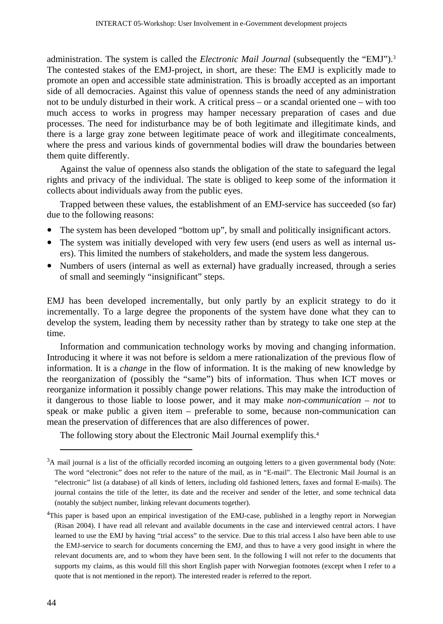administration. The system is called the *Electronic Mail Journal* (subsequently the "EMJ").3 The contested stakes of the EMJ-project, in short, are these: The EMJ is explicitly made to promote an open and accessible state administration. This is broadly accepted as an important side of all democracies. Against this value of openness stands the need of any administration not to be unduly disturbed in their work. A critical press – or a scandal oriented one – with too much access to works in progress may hamper necessary preparation of cases and due processes. The need for indisturbance may be of both legitimate and illegitimate kinds, and there is a large gray zone between legitimate peace of work and illegitimate concealments, where the press and various kinds of governmental bodies will draw the boundaries between them quite differently.

Against the value of openness also stands the obligation of the state to safeguard the legal rights and privacy of the individual. The state is obliged to keep some of the information it collects about individuals away from the public eyes.

Trapped between these values, the establishment of an EMJ-service has succeeded (so far) due to the following reasons:

- The system has been developed "bottom up", by small and politically insignificant actors.
- The system was initially developed with very few users (end users as well as internal users). This limited the numbers of stakeholders, and made the system less dangerous.
- Numbers of users (internal as well as external) have gradually increased, through a series of small and seemingly "insignificant" steps.

EMJ has been developed incrementally, but only partly by an explicit strategy to do it incrementally. To a large degree the proponents of the system have done what they can to develop the system, leading them by necessity rather than by strategy to take one step at the time.

Information and communication technology works by moving and changing information. Introducing it where it was not before is seldom a mere rationalization of the previous flow of information. It is a *change* in the flow of information. It is the making of new knowledge by the reorganization of (possibly the "same") bits of information. Thus when ICT moves or reorganize information it possibly change power relations. This may make the introduction of it dangerous to those liable to loose power, and it may make *non-communication* – *not* to speak or make public a given item – preferable to some, because non-communication can mean the preservation of differences that are also differences of power.

The following story about the Electronic Mail Journal exemplify this.<sup>4</sup>

 $\overline{a}$ 

<sup>3</sup>A mail journal is a list of the officially recorded incoming an outgoing letters to a given governmental body (Note: The word "electronic" does not refer to the nature of the mail, as in "E-mail". The Electronic Mail Journal is an "electronic" list (a database) of all kinds of letters, including old fashioned letters, faxes and formal E-mails). The journal contains the title of the letter, its date and the receiver and sender of the letter, and some technical data (notably the subject number, linking relevant documents together).

<sup>4</sup>This paper is based upon an empirical investigation of the EMJ-case, published in a lengthy report in Norwegian (Risan 2004). I have read all relevant and available documents in the case and interviewed central actors. I have learned to use the EMJ by having "trial access" to the service. Due to this trial access I also have been able to use the EMJ-service to search for documents concerning the EMJ, and thus to have a very good insight in where the relevant documents are, and to whom they have been sent. In the following I will not refer to the documents that supports my claims, as this would fill this short English paper with Norwegian footnotes (except when I refer to a quote that is not mentioned in the report). The interested reader is referred to the report.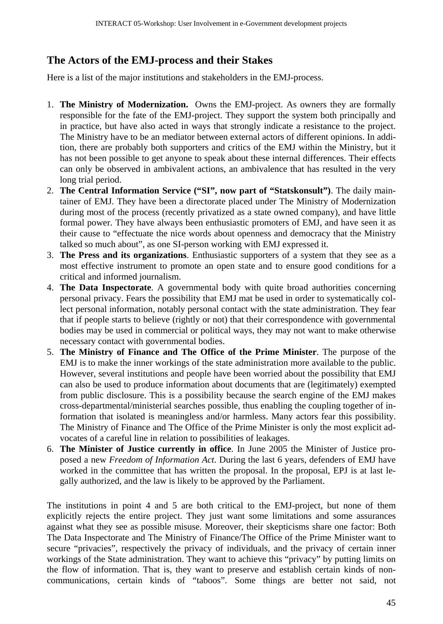# **The Actors of the EMJ-process and their Stakes**

Here is a list of the major institutions and stakeholders in the EMJ-process.

- 1. **The Ministry of Modernization.** Owns the EMJ-project. As owners they are formally responsible for the fate of the EMJ-project. They support the system both principally and in practice, but have also acted in ways that strongly indicate a resistance to the project. The Ministry have to be an mediator between external actors of different opinions. In addition, there are probably both supporters and critics of the EMJ within the Ministry, but it has not been possible to get anyone to speak about these internal differences. Their effects can only be observed in ambivalent actions, an ambivalence that has resulted in the very long trial period.
- 2. **The Central Information Service ("SI", now part of "Statskonsult")**. The daily maintainer of EMJ. They have been a directorate placed under The Ministry of Modernization during most of the process (recently privatized as a state owned company), and have little formal power. They have always been enthusiastic promoters of EMJ, and have seen it as their cause to "effectuate the nice words about openness and democracy that the Ministry talked so much about", as one SI-person working with EMJ expressed it.
- 3. **The Press and its organizations**. Enthusiastic supporters of a system that they see as a most effective instrument to promote an open state and to ensure good conditions for a critical and informed journalism.
- 4. **The Data Inspectorate**. A governmental body with quite broad authorities concerning personal privacy. Fears the possibility that EMJ mat be used in order to systematically collect personal information, notably personal contact with the state administration. They fear that if people starts to believe (rightly or not) that their correspondence with governmental bodies may be used in commercial or political ways, they may not want to make otherwise necessary contact with governmental bodies.
- 5. **The Ministry of Finance and The Office of the Prime Minister**. The purpose of the EMJ is to make the inner workings of the state administration more available to the public. However, several institutions and people have been worried about the possibility that EMJ can also be used to produce information about documents that are (legitimately) exempted from public disclosure. This is a possibility because the search engine of the EMJ makes cross-departmental/ministerial searches possible, thus enabling the coupling together of information that isolated is meaningless and/or harmless. Many actors fear this possibility. The Ministry of Finance and The Office of the Prime Minister is only the most explicit advocates of a careful line in relation to possibilities of leakages.
- 6. **The Minister of Justice currently in office**. In June 2005 the Minister of Justice proposed a new *Freedom of Information Act*. During the last 6 years, defenders of EMJ have worked in the committee that has written the proposal. In the proposal, EPJ is at last legally authorized, and the law is likely to be approved by the Parliament.

The institutions in point 4 and 5 are both critical to the EMJ-project, but none of them explicitly rejects the entire project. They just want some limitations and some assurances against what they see as possible misuse. Moreover, their skepticisms share one factor: Both The Data Inspectorate and The Ministry of Finance/The Office of the Prime Minister want to secure "privacies", respectively the privacy of individuals, and the privacy of certain inner workings of the State administration. They want to achieve this "privacy" by putting limits on the flow of information. That is, they want to preserve and establish certain kinds of noncommunications, certain kinds of "taboos". Some things are better not said, not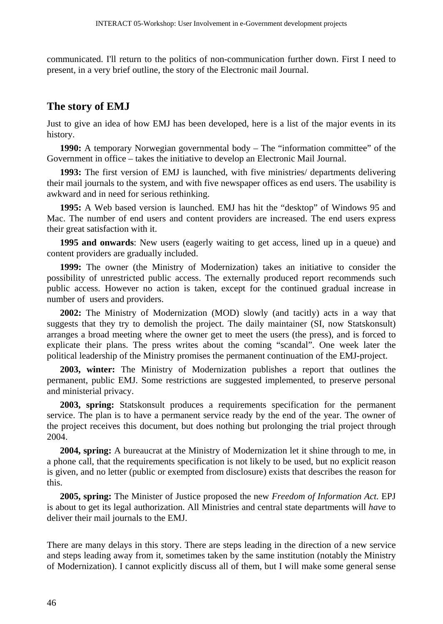communicated. I'll return to the politics of non-communication further down. First I need to present, in a very brief outline, the story of the Electronic mail Journal.

### **The story of EMJ**

Just to give an idea of how EMJ has been developed, here is a list of the major events in its history.

**1990:** A temporary Norwegian governmental body – The "information committee" of the Government in office – takes the initiative to develop an Electronic Mail Journal.

**1993:** The first version of EMJ is launched, with five ministries/ departments delivering their mail journals to the system, and with five newspaper offices as end users. The usability is awkward and in need for serious rethinking.

**1995:** A Web based version is launched. EMJ has hit the "desktop" of Windows 95 and Mac. The number of end users and content providers are increased. The end users express their great satisfaction with it.

**1995 and onwards**: New users (eagerly waiting to get access, lined up in a queue) and content providers are gradually included.

**1999:** The owner (the Ministry of Modernization) takes an initiative to consider the possibility of unrestricted public access. The externally produced report recommends such public access. However no action is taken, except for the continued gradual increase in number of users and providers.

**2002:** The Ministry of Modernization (MOD) slowly (and tacitly) acts in a way that suggests that they try to demolish the project. The daily maintainer (SI, now Statskonsult) arranges a broad meeting where the owner get to meet the users (the press), and is forced to explicate their plans. The press writes about the coming "scandal". One week later the political leadership of the Ministry promises the permanent continuation of the EMJ-project.

**2003, winter:** The Ministry of Modernization publishes a report that outlines the permanent, public EMJ. Some restrictions are suggested implemented, to preserve personal and ministerial privacy.

**2003, spring:** Statskonsult produces a requirements specification for the permanent service. The plan is to have a permanent service ready by the end of the year. The owner of the project receives this document, but does nothing but prolonging the trial project through 2004.

**2004, spring:** A bureaucrat at the Ministry of Modernization let it shine through to me, in a phone call, that the requirements specification is not likely to be used, but no explicit reason is given, and no letter (public or exempted from disclosure) exists that describes the reason for this.

**2005, spring:** The Minister of Justice proposed the new *Freedom of Information Act.* EPJ is about to get its legal authorization. All Ministries and central state departments will *have* to deliver their mail journals to the EMJ.

There are many delays in this story. There are steps leading in the direction of a new service and steps leading away from it, sometimes taken by the same institution (notably the Ministry of Modernization). I cannot explicitly discuss all of them, but I will make some general sense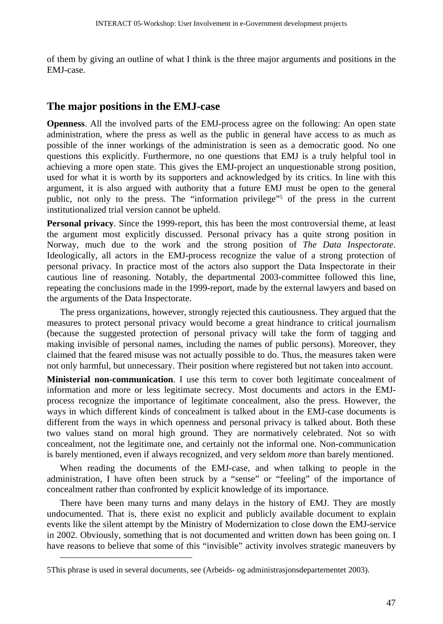of them by giving an outline of what I think is the three major arguments and positions in the EMJ-case.

### **The major positions in the EMJ-case**

**Openness**. All the involved parts of the EMJ-process agree on the following: An open state administration, where the press as well as the public in general have access to as much as possible of the inner workings of the administration is seen as a democratic good. No one questions this explicitly. Furthermore, no one questions that EMJ is a truly helpful tool in achieving a more open state. This gives the EMJ-project an unquestionable strong position, used for what it is worth by its supporters and acknowledged by its critics. In line with this argument, it is also argued with authority that a future EMJ must be open to the general public, not only to the press. The "information privilege"5 of the press in the current institutionalized trial version cannot be upheld.

**Personal privacy**. Since the 1999-report, this has been the most controversial theme, at least the argument most explicitly discussed. Personal privacy has a quite strong position in Norway, much due to the work and the strong position of *The Data Inspectorate*. Ideologically, all actors in the EMJ-process recognize the value of a strong protection of personal privacy. In practice most of the actors also support the Data Inspectorate in their cautious line of reasoning. Notably, the departmental 2003-committee followed this line, repeating the conclusions made in the 1999-report, made by the external lawyers and based on the arguments of the Data Inspectorate.

The press organizations, however, strongly rejected this cautiousness. They argued that the measures to protect personal privacy would become a great hindrance to critical journalism (because the suggested protection of personal privacy will take the form of tagging and making invisible of personal names, including the names of public persons). Moreover, they claimed that the feared misuse was not actually possible to do. Thus, the measures taken were not only harmful, but unnecessary. Their position where registered but not taken into account.

**Ministerial non-communication**. I use this term to cover both legitimate concealment of information and more or less legitimate secrecy. Most documents and actors in the EMJprocess recognize the importance of legitimate concealment, also the press. However, the ways in which different kinds of concealment is talked about in the EMJ-case documents is different from the ways in which openness and personal privacy is talked about. Both these two values stand on moral high ground. They are normatively celebrated. Not so with concealment, not the legitimate one, and certainly not the informal one. Non-communication is barely mentioned, even if always recognized, and very seldom *more* than barely mentioned.

When reading the documents of the EMJ-case, and when talking to people in the administration, I have often been struck by a "sense" or "feeling" of the importance of concealment rather than confronted by explicit knowledge of its importance.

There have been many turns and many delays in the history of EMJ. They are mostly undocumented. That is, there exist no explicit and publicly available document to explain events like the silent attempt by the Ministry of Modernization to close down the EMJ-service in 2002. Obviously, something that is not documented and written down has been going on. I have reasons to believe that some of this "invisible" activity involves strategic maneuvers by

 $\overline{\phantom{a}}$ 

<sup>5</sup>This phrase is used in several documents, see (Arbeids- og administrasjonsdepartementet 2003).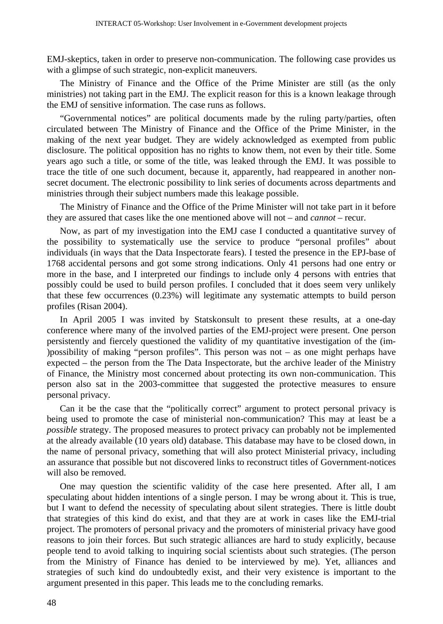EMJ-skeptics, taken in order to preserve non-communication. The following case provides us with a glimpse of such strategic, non-explicit maneuvers.

The Ministry of Finance and the Office of the Prime Minister are still (as the only ministries) not taking part in the EMJ. The explicit reason for this is a known leakage through the EMJ of sensitive information. The case runs as follows.

"Governmental notices" are political documents made by the ruling party/parties, often circulated between The Ministry of Finance and the Office of the Prime Minister, in the making of the next year budget. They are widely acknowledged as exempted from public disclosure. The political opposition has no rights to know them, not even by their title. Some years ago such a title, or some of the title, was leaked through the EMJ. It was possible to trace the title of one such document, because it, apparently, had reappeared in another nonsecret document. The electronic possibility to link series of documents across departments and ministries through their subject numbers made this leakage possible.

The Ministry of Finance and the Office of the Prime Minister will not take part in it before they are assured that cases like the one mentioned above will not – and *cannot* – recur.

Now, as part of my investigation into the EMJ case I conducted a quantitative survey of the possibility to systematically use the service to produce "personal profiles" about individuals (in ways that the Data Inspectorate fears). I tested the presence in the EPJ-base of 1768 accidental persons and got some strong indications. Only 41 persons had one entry or more in the base, and I interpreted our findings to include only 4 persons with entries that possibly could be used to build person profiles. I concluded that it does seem very unlikely that these few occurrences (0.23%) will legitimate any systematic attempts to build person profiles (Risan 2004).

In April 2005 I was invited by Statskonsult to present these results, at a one-day conference where many of the involved parties of the EMJ-project were present. One person persistently and fiercely questioned the validity of my quantitative investigation of the (im- )possibility of making "person profiles". This person was not – as one might perhaps have expected – the person from the The Data Inspectorate, but the archive leader of the Ministry of Finance, the Ministry most concerned about protecting its own non-communication. This person also sat in the 2003-committee that suggested the protective measures to ensure personal privacy.

Can it be the case that the "politically correct" argument to protect personal privacy is being used to promote the case of ministerial non-communication? This may at least be a *possible* strategy. The proposed measures to protect privacy can probably not be implemented at the already available (10 years old) database. This database may have to be closed down, in the name of personal privacy, something that will also protect Ministerial privacy, including an assurance that possible but not discovered links to reconstruct titles of Government-notices will also be removed.

One may question the scientific validity of the case here presented. After all, I am speculating about hidden intentions of a single person. I may be wrong about it. This is true, but I want to defend the necessity of speculating about silent strategies. There is little doubt that strategies of this kind do exist, and that they are at work in cases like the EMJ-trial project. The promoters of personal privacy and the promoters of ministerial privacy have good reasons to join their forces. But such strategic alliances are hard to study explicitly, because people tend to avoid talking to inquiring social scientists about such strategies. (The person from the Ministry of Finance has denied to be interviewed by me). Yet, alliances and strategies of such kind do undoubtedly exist, and their very existence is important to the argument presented in this paper. This leads me to the concluding remarks.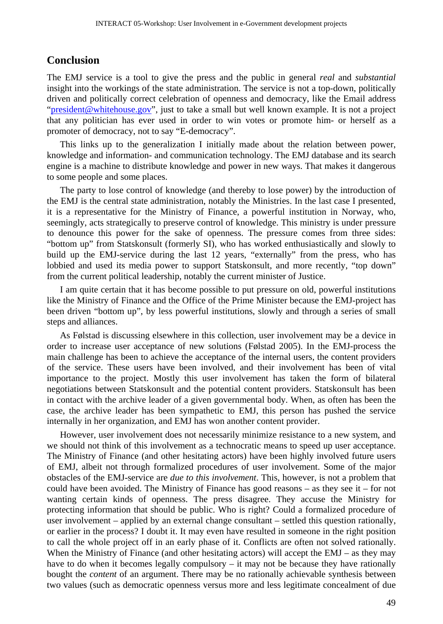## **Conclusion**

The EMJ service is a tool to give the press and the public in general *real* and *substantial* insight into the workings of the state administration. The service is not a top-down, politically driven and politically correct celebration of openness and democracy, like the Email address "president@whitehouse.gov", just to take a small but well known example. It is not a project that any politician has ever used in order to win votes or promote him- or herself as a promoter of democracy, not to say "E-democracy".

This links up to the generalization I initially made about the relation between power, knowledge and information- and communication technology. The EMJ database and its search engine is a machine to distribute knowledge and power in new ways. That makes it dangerous to some people and some places.

The party to lose control of knowledge (and thereby to lose power) by the introduction of the EMJ is the central state administration, notably the Ministries. In the last case I presented, it is a representative for the Ministry of Finance, a powerful institution in Norway, who, seemingly, acts strategically to preserve control of knowledge. This ministry is under pressure to denounce this power for the sake of openness. The pressure comes from three sides: "bottom up" from Statskonsult (formerly SI), who has worked enthusiastically and slowly to build up the EMJ-service during the last 12 years, "externally" from the press, who has lobbied and used its media power to support Statskonsult, and more recently, "top down" from the current political leadership, notably the current minister of Justice.

I am quite certain that it has become possible to put pressure on old, powerful institutions like the Ministry of Finance and the Office of the Prime Minister because the EMJ-project has been driven "bottom up", by less powerful institutions, slowly and through a series of small steps and alliances.

As Følstad is discussing elsewhere in this collection, user involvement may be a device in order to increase user acceptance of new solutions (Følstad 2005). In the EMJ-process the main challenge has been to achieve the acceptance of the internal users, the content providers of the service. These users have been involved, and their involvement has been of vital importance to the project. Mostly this user involvement has taken the form of bilateral negotiations between Statskonsult and the potential content providers. Statskonsult has been in contact with the archive leader of a given governmental body. When, as often has been the case, the archive leader has been sympathetic to EMJ, this person has pushed the service internally in her organization, and EMJ has won another content provider.

However, user involvement does not necessarily minimize resistance to a new system, and we should not think of this involvement as a technocratic means to speed up user acceptance. The Ministry of Finance (and other hesitating actors) have been highly involved future users of EMJ, albeit not through formalized procedures of user involvement. Some of the major obstacles of the EMJ-service are *due to this involvement*. This, however, is not a problem that could have been avoided. The Ministry of Finance has good reasons  $-$  as they see it  $-$  for not wanting certain kinds of openness. The press disagree. They accuse the Ministry for protecting information that should be public. Who is right? Could a formalized procedure of user involvement – applied by an external change consultant – settled this question rationally, or earlier in the process? I doubt it. It may even have resulted in someone in the right position to call the whole project off in an early phase of it. Conflicts are often not solved rationally. When the Ministry of Finance (and other hesitating actors) will accept the EMJ – as they may have to do when it becomes legally compulsory – it may not be because they have rationally bought the *content* of an argument. There may be no rationally achievable synthesis between two values (such as democratic openness versus more and less legitimate concealment of due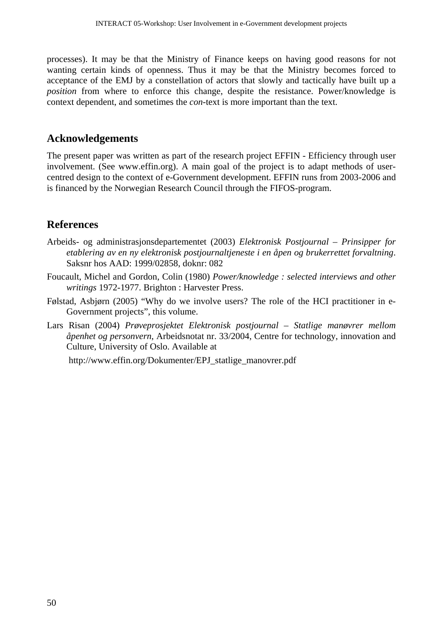processes). It may be that the Ministry of Finance keeps on having good reasons for not wanting certain kinds of openness. Thus it may be that the Ministry becomes forced to acceptance of the EMJ by a constellation of actors that slowly and tactically have built up a *position* from where to enforce this change, despite the resistance. Power/knowledge is context dependent, and sometimes the *con*-text is more important than the text.

# **Acknowledgements**

The present paper was written as part of the research project EFFIN - Efficiency through user involvement. (See www.effin.org). A main goal of the project is to adapt methods of usercentred design to the context of e-Government development. EFFIN runs from 2003-2006 and is financed by the Norwegian Research Council through the FIFOS-program.

# **References**

- Arbeids- og administrasjonsdepartementet (2003) *Elektronisk Postjournal Prinsipper for etablering av en ny elektronisk postjournaltjeneste i en åpen og brukerrettet forvaltning*. Saksnr hos AAD: 1999/02858, doknr: 082
- Foucault, Michel and Gordon, Colin (1980) *Power/knowledge : selected interviews and other writings* 1972-1977. Brighton : Harvester Press.
- Følstad, Asbjørn (2005) "Why do we involve users? The role of the HCI practitioner in e-Government projects", this volume.
- Lars Risan (2004) *Prøveprosjektet Elektronisk postjournal Statlige manøvrer mellom åpenhet og personvern*, Arbeidsnotat nr. 33/2004, Centre for technology, innovation and Culture, University of Oslo. Available at

http://www.effin.org/Dokumenter/EPJ\_statlige\_manovrer.pdf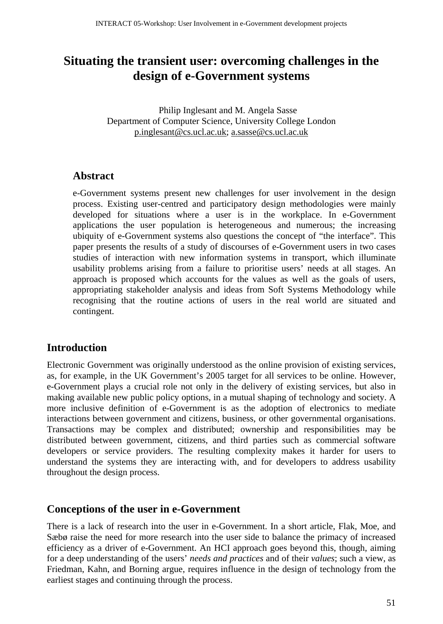# **Situating the transient user: overcoming challenges in the design of e-Government systems**

Philip Inglesant and M. Angela Sasse Department of Computer Science, University College London p.inglesant@cs.ucl.ac.uk; a.sasse@cs.ucl.ac.uk

## **Abstract**

e-Government systems present new challenges for user involvement in the design process. Existing user-centred and participatory design methodologies were mainly developed for situations where a user is in the workplace. In e-Government applications the user population is heterogeneous and numerous; the increasing ubiquity of e-Government systems also questions the concept of "the interface". This paper presents the results of a study of discourses of e-Government users in two cases studies of interaction with new information systems in transport, which illuminate usability problems arising from a failure to prioritise users' needs at all stages. An approach is proposed which accounts for the values as well as the goals of users, appropriating stakeholder analysis and ideas from Soft Systems Methodology while recognising that the routine actions of users in the real world are situated and contingent.

# **Introduction**

Electronic Government was originally understood as the online provision of existing services, as, for example, in the UK Government's 2005 target for all services to be online. However, e-Government plays a crucial role not only in the delivery of existing services, but also in making available new public policy options, in a mutual shaping of technology and society. A more inclusive definition of e-Government is as the adoption of electronics to mediate interactions between government and citizens, business, or other governmental organisations. Transactions may be complex and distributed; ownership and responsibilities may be distributed between government, citizens, and third parties such as commercial software developers or service providers. The resulting complexity makes it harder for users to understand the systems they are interacting with, and for developers to address usability throughout the design process.

# **Conceptions of the user in e-Government**

There is a lack of research into the user in e-Government. In a short article, Flak, Moe, and Sæbø raise the need for more research into the user side to balance the primacy of increased efficiency as a driver of e-Government. An HCI approach goes beyond this, though, aiming for a deep understanding of the users' *needs and practices* and of their *values*; such a view, as Friedman, Kahn, and Borning argue, requires influence in the design of technology from the earliest stages and continuing through the process.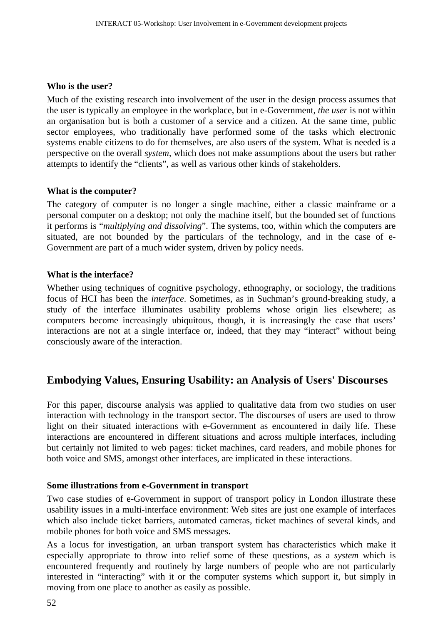#### **Who is the user?**

Much of the existing research into involvement of the user in the design process assumes that the user is typically an employee in the workplace, but in e-Government, *the user* is not within an organisation but is both a customer of a service and a citizen. At the same time, public sector employees, who traditionally have performed some of the tasks which electronic systems enable citizens to do for themselves, are also users of the system. What is needed is a perspective on the overall *system*, which does not make assumptions about the users but rather attempts to identify the "clients", as well as various other kinds of stakeholders.

#### **What is the computer?**

The category of computer is no longer a single machine, either a classic mainframe or a personal computer on a desktop; not only the machine itself, but the bounded set of functions it performs is "*multiplying and dissolving*". The systems, too, within which the computers are situated, are not bounded by the particulars of the technology, and in the case of e-Government are part of a much wider system, driven by policy needs.

#### **What is the interface?**

Whether using techniques of cognitive psychology, ethnography, or sociology, the traditions focus of HCI has been the *interface*. Sometimes, as in Suchman's ground-breaking study, a study of the interface illuminates usability problems whose origin lies elsewhere; as computers become increasingly ubiquitous, though, it is increasingly the case that users' interactions are not at a single interface or, indeed, that they may "interact" without being consciously aware of the interaction.

# **Embodying Values, Ensuring Usability: an Analysis of Users' Discourses**

For this paper, discourse analysis was applied to qualitative data from two studies on user interaction with technology in the transport sector. The discourses of users are used to throw light on their situated interactions with e-Government as encountered in daily life. These interactions are encountered in different situations and across multiple interfaces, including but certainly not limited to web pages: ticket machines, card readers, and mobile phones for both voice and SMS, amongst other interfaces, are implicated in these interactions.

### **Some illustrations from e-Government in transport**

Two case studies of e-Government in support of transport policy in London illustrate these usability issues in a multi-interface environment: Web sites are just one example of interfaces which also include ticket barriers, automated cameras, ticket machines of several kinds, and mobile phones for both voice and SMS messages.

As a locus for investigation, an urban transport system has characteristics which make it especially appropriate to throw into relief some of these questions, as a *system* which is encountered frequently and routinely by large numbers of people who are not particularly interested in "interacting" with it or the computer systems which support it, but simply in moving from one place to another as easily as possible.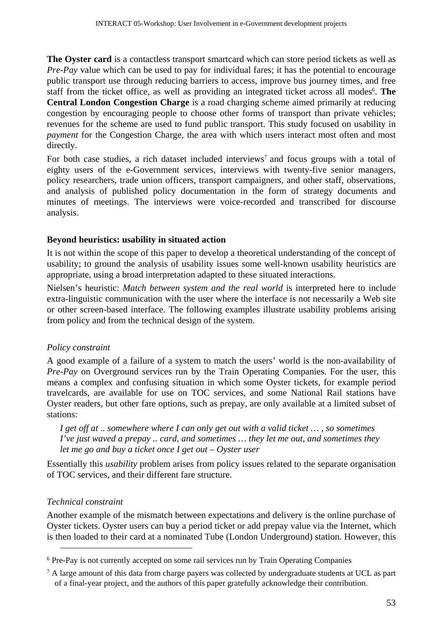**The Oyster card** is a contactless transport smartcard which can store period tickets as well as *Pre-Pay* value which can be used to pay for individual fares; it has the potential to encourage public transport use through reducing barriers to access, improve bus journey times, and free staff from the ticket office, as well as providing an integrated ticket across all modes<sup>6</sup>. The **Central London Congestion Charge** is a road charging scheme aimed primarily at reducing congestion by encouraging people to choose other forms of transport than private vehicles; revenues for the scheme are used to fund public transport. This study focused on usability in *payment* for the Congestion Charge, the area with which users interact most often and most directly.

For both case studies, a rich dataset included interviews<sup>7</sup> and focus groups with a total of eighty users of the e-Government services, interviews with twenty-five senior managers, policy researchers, trade union officers, transport campaigners, and other staff, observations, and analysis of published policy documentation in the form of strategy documents and minutes of meetings. The interviews were voice-recorded and transcribed for discourse analysis.

### **Beyond heuristics: usability in situated action**

It is not within the scope of this paper to develop a theoretical understanding of the concept of usability; to ground the analysis of usability issues some well-known usability heuristics are appropriate, using a broad interpretation adapted to these situated interactions.

Nielsen's heuristic: *Match between system and the real world* is interpreted here to include extra-linguistic communication with the user where the interface is not necessarily a Web site or other screen-based interface. The following examples illustrate usability problems arising from policy and from the technical design of the system.

## *Policy constraint*

A good example of a failure of a system to match the users' world is the non-availability of *Pre-Pay* on Overground services run by the Train Operating Companies. For the user, this means a complex and confusing situation in which some Oyster tickets, for example period travelcards, are available for use on TOC services, and some National Rail stations have Oyster readers, but other fare options, such as prepay, are only available at a limited subset of stations:

*I get off at .. somewhere where I can only get out with a valid ticket … , so sometimes I've just waved a prepay .. card, and sometimes … they let me out, and sometimes they let me go and buy a ticket once I get out – Oyster user* 

Essentially this *usability* problem arises from policy issues related to the separate organisation of TOC services, and their different fare structure.

## *Technical constraint*

l

Another example of the mismatch between expectations and delivery is the online purchase of Oyster tickets. Oyster users can buy a period ticket or add prepay value via the Internet, which is then loaded to their card at a nominated Tube (London Underground) station. However, this

<sup>6</sup> Pre-Pay is not currently accepted on some rail services run by Train Operating Companies

 $^7$  A large amount of this data from charge payers was collected by undergraduate students at UCL as part of a final-year project, and the authors of this paper gratefully acknowledge their contribution.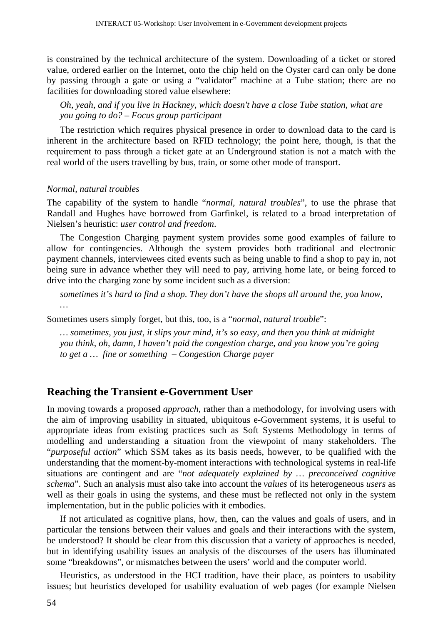is constrained by the technical architecture of the system. Downloading of a ticket or stored value, ordered earlier on the Internet, onto the chip held on the Oyster card can only be done by passing through a gate or using a "validator" machine at a Tube station; there are no facilities for downloading stored value elsewhere:

*Oh, yeah, and if you live in Hackney, which doesn't have a close Tube station, what are you going to do? – Focus group participant* 

The restriction which requires physical presence in order to download data to the card is inherent in the architecture based on RFID technology; the point here, though, is that the requirement to pass through a ticket gate at an Underground station is not a match with the real world of the users travelling by bus, train, or some other mode of transport.

#### *Normal, natural troubles*

The capability of the system to handle "*normal, natural troubles*", to use the phrase that Randall and Hughes have borrowed from Garfinkel, is related to a broad interpretation of Nielsen's heuristic: *user control and freedom*.

The Congestion Charging payment system provides some good examples of failure to allow for contingencies. Although the system provides both traditional and electronic payment channels, interviewees cited events such as being unable to find a shop to pay in, not being sure in advance whether they will need to pay, arriving home late, or being forced to drive into the charging zone by some incident such as a diversion:

*sometimes it's hard to find a shop. They don't have the shops all around the, you know, …* 

Sometimes users simply forget, but this, too, is a "*normal, natural trouble*":

*… sometimes, you just, it slips your mind, it's so easy, and then you think at midnight you think, oh, damn, I haven't paid the congestion charge, and you know you're going to get a … fine or something – Congestion Charge payer* 

### **Reaching the Transient e-Government User**

In moving towards a proposed *approach*, rather than a methodology, for involving users with the aim of improving usability in situated, ubiquitous e-Government systems, it is useful to appropriate ideas from existing practices such as Soft Systems Methodology in terms of modelling and understanding a situation from the viewpoint of many stakeholders. The "*purposeful action*" which SSM takes as its basis needs, however, to be qualified with the understanding that the moment-by-moment interactions with technological systems in real-life situations are contingent and are "*not adequately explained by … preconceived cognitive schema*". Such an analysis must also take into account the *values* of its heterogeneous *users* as well as their goals in using the systems, and these must be reflected not only in the system implementation, but in the public policies with it embodies.

If not articulated as cognitive plans, how, then, can the values and goals of users, and in particular the tensions between their values and goals and their interactions with the system, be understood? It should be clear from this discussion that a variety of approaches is needed, but in identifying usability issues an analysis of the discourses of the users has illuminated some "breakdowns", or mismatches between the users' world and the computer world.

Heuristics, as understood in the HCI tradition, have their place, as pointers to usability issues; but heuristics developed for usability evaluation of web pages (for example Nielsen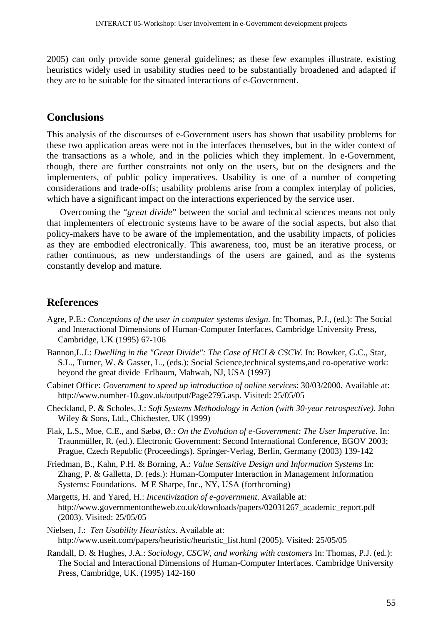2005) can only provide some general guidelines; as these few examples illustrate, existing heuristics widely used in usability studies need to be substantially broadened and adapted if they are to be suitable for the situated interactions of e-Government.

# **Conclusions**

This analysis of the discourses of e-Government users has shown that usability problems for these two application areas were not in the interfaces themselves, but in the wider context of the transactions as a whole, and in the policies which they implement. In e-Government, though, there are further constraints not only on the users, but on the designers and the implementers, of public policy imperatives. Usability is one of a number of competing considerations and trade-offs; usability problems arise from a complex interplay of policies, which have a significant impact on the interactions experienced by the service user.

Overcoming the "*great divide*" between the social and technical sciences means not only that implementers of electronic systems have to be aware of the social aspects, but also that policy-makers have to be aware of the implementation, and the usability impacts, of policies as they are embodied electronically. This awareness, too, must be an iterative process, or rather continuous, as new understandings of the users are gained, and as the systems constantly develop and mature.

# **References**

- Agre, P.E.: *Conceptions of the user in computer systems design*. In: Thomas, P.J., (ed.): The Social and Interactional Dimensions of Human-Computer Interfaces, Cambridge University Press, Cambridge, UK (1995) 67-106
- Bannon,L.J.: *Dwelling in the "Great Divide": The Case of HCI & CSCW.* In: Bowker, G.C., Star, S.L., Turner, W. & Gasser, L., (eds.): Social Science,technical systems,and co-operative work: beyond the great divide Erlbaum, Mahwah, NJ, USA (1997)
- Cabinet Office: *Government to speed up introduction of online services*: 30/03/2000. Available at: http://www.number-10.gov.uk/output/Page2795.asp. Visited: 25/05/05
- Checkland, P. & Scholes, J.: *Soft Systems Methodology in Action (with 30-year retrospective).* John Wiley & Sons, Ltd., Chichester, UK (1999)
- Flak, L.S., Moe, C.E., and Sæbø, Ø.: *On the Evolution of e-Government: The User Imperative*. In: Traunmüller, R. (ed.). Electronic Government: Second International Conference, EGOV 2003; Prague, Czech Republic (Proceedings). Springer-Verlag, Berlin, Germany (2003) 139-142
- Friedman, B., Kahn, P.H. & Borning, A.: *Value Sensitive Design and Information Systems* In: Zhang, P. & Galletta, D. (eds.): Human-Computer Interaction in Management Information Systems: Foundations. M E Sharpe, Inc., NY, USA (forthcoming)
- Margetts, H. and Yared, H.: *Incentivization of e-government*. Available at: http://www.governmentontheweb.co.uk/downloads/papers/02031267\_academic\_report.pdf (2003). Visited: 25/05/05
- Nielsen, J.: *Ten Usability Heuristics*. Available at: http://www.useit.com/papers/heuristic/heuristic\_list.html (2005). Visited: 25/05/05
- Randall, D. & Hughes, J.A.: *Sociology, CSCW, and working with customers* In: Thomas, P.J. (ed.): The Social and Interactional Dimensions of Human-Computer Interfaces. Cambridge University Press, Cambridge, UK. (1995) 142-160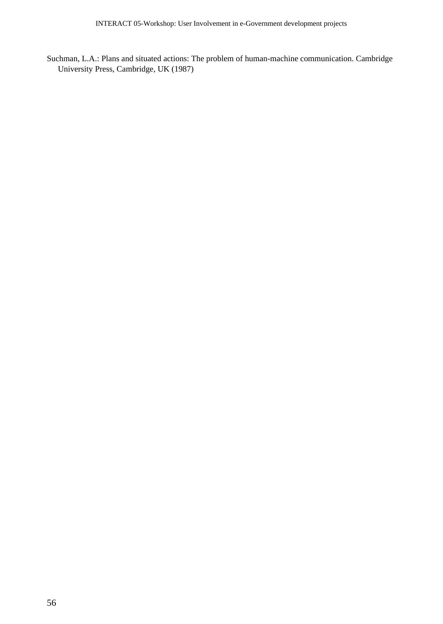Suchman, L.A.: Plans and situated actions: The problem of human-machine communication. Cambridge University Press, Cambridge, UK (1987)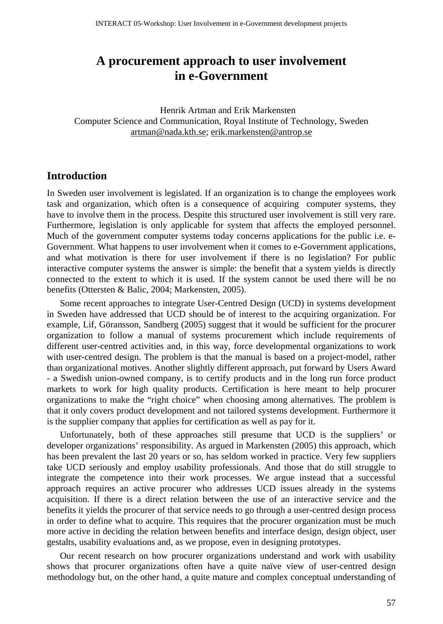# **A procurement approach to user involvement in e-Government**

Henrik Artman and Erik Markensten Computer Science and Communication, Royal Institute of Technology, Sweden artman@nada.kth.se; erik.markensten@antrop.se

## **Introduction**

In Sweden user involvement is legislated. If an organization is to change the employees work task and organization, which often is a consequence of acquiring computer systems, they have to involve them in the process. Despite this structured user involvement is still very rare. Furthermore, legislation is only applicable for system that affects the employed personnel. Much of the government computer systems today concerns applications for the public i.e. e-Government. What happens to user involvement when it comes to e-Government applications, and what motivation is there for user involvement if there is no legislation? For public interactive computer systems the answer is simple: the benefit that a system yields is directly connected to the extent to which it is used. If the system cannot be used there will be no benefits (Ottersten & Balic, 2004; Markensten, 2005).

Some recent approaches to integrate User-Centred Design (UCD) in systems development in Sweden have addressed that UCD should be of interest to the acquiring organization. For example, Lif, Göransson, Sandberg (2005) suggest that it would be sufficient for the procurer organization to follow a manual of systems procurement which include requirements of different user-centred activities and, in this way, force developmental organizations to work with user-centred design. The problem is that the manual is based on a project-model, rather than organizational motives. Another slightly different approach, put forward by Users Award - a Swedish union-owned company, is to certify products and in the long run force product markets to work for high quality products. Certification is here meant to help procurer organizations to make the "right choice" when choosing among alternatives. The problem is that it only covers product development and not tailored systems development. Furthermore it is the supplier company that applies for certification as well as pay for it.

Unfortunately, both of these approaches still presume that UCD is the suppliers' or developer organizations' responsibility. As argued in Markensten (2005) this approach, which has been prevalent the last 20 years or so, has seldom worked in practice. Very few suppliers take UCD seriously and employ usability professionals. And those that do still struggle to integrate the competence into their work processes. We argue instead that a successful approach requires an active procurer who addresses UCD issues already in the systems acquisition. If there is a direct relation between the use of an interactive service and the benefits it yields the procurer of that service needs to go through a user-centred design process in order to define what to acquire. This requires that the procurer organization must be much more active in deciding the relation between benefits and interface design, design object, user gestalts, usability evaluations and, as we propose, even in designing prototypes.

Our recent research on how procurer organizations understand and work with usability shows that procurer organizations often have a quite naïve view of user-centred design methodology but, on the other hand, a quite mature and complex conceptual understanding of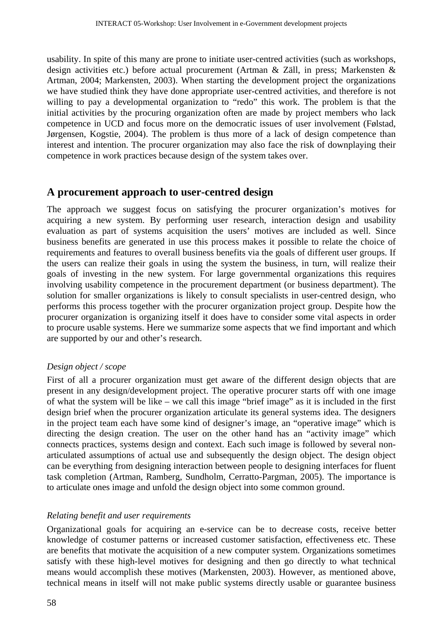usability. In spite of this many are prone to initiate user-centred activities (such as workshops, design activities etc.) before actual procurement (Artman & Zäll, in press; Markensten & Artman, 2004; Markensten, 2003). When starting the development project the organizations we have studied think they have done appropriate user-centred activities, and therefore is not willing to pay a developmental organization to "redo" this work. The problem is that the initial activities by the procuring organization often are made by project members who lack competence in UCD and focus more on the democratic issues of user involvement (Følstad, Jørgensen, Kogstie, 2004). The problem is thus more of a lack of design competence than interest and intention. The procurer organization may also face the risk of downplaying their competence in work practices because design of the system takes over.

# **A procurement approach to user-centred design**

The approach we suggest focus on satisfying the procurer organization's motives for acquiring a new system. By performing user research, interaction design and usability evaluation as part of systems acquisition the users' motives are included as well. Since business benefits are generated in use this process makes it possible to relate the choice of requirements and features to overall business benefits via the goals of different user groups. If the users can realize their goals in using the system the business, in turn, will realize their goals of investing in the new system. For large governmental organizations this requires involving usability competence in the procurement department (or business department). The solution for smaller organizations is likely to consult specialists in user-centred design, who performs this process together with the procurer organization project group. Despite how the procurer organization is organizing itself it does have to consider some vital aspects in order to procure usable systems. Here we summarize some aspects that we find important and which are supported by our and other's research.

## *Design object / scope*

First of all a procurer organization must get aware of the different design objects that are present in any design/development project. The operative procurer starts off with one image of what the system will be like – we call this image "brief image" as it is included in the first design brief when the procurer organization articulate its general systems idea. The designers in the project team each have some kind of designer's image, an "operative image" which is directing the design creation. The user on the other hand has an "activity image" which connects practices, systems design and context. Each such image is followed by several nonarticulated assumptions of actual use and subsequently the design object. The design object can be everything from designing interaction between people to designing interfaces for fluent task completion (Artman, Ramberg, Sundholm, Cerratto-Pargman, 2005). The importance is to articulate ones image and unfold the design object into some common ground.

## *Relating benefit and user requirements*

Organizational goals for acquiring an e-service can be to decrease costs, receive better knowledge of costumer patterns or increased customer satisfaction, effectiveness etc. These are benefits that motivate the acquisition of a new computer system. Organizations sometimes satisfy with these high-level motives for designing and then go directly to what technical means would accomplish these motives (Markensten, 2003). However, as mentioned above, technical means in itself will not make public systems directly usable or guarantee business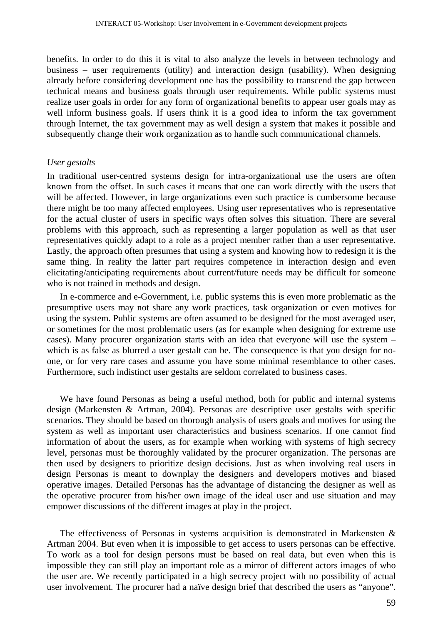benefits. In order to do this it is vital to also analyze the levels in between technology and business – user requirements (utility) and interaction design (usability). When designing already before considering development one has the possibility to transcend the gap between technical means and business goals through user requirements. While public systems must realize user goals in order for any form of organizational benefits to appear user goals may as well inform business goals. If users think it is a good idea to inform the tax government through Internet, the tax government may as well design a system that makes it possible and subsequently change their work organization as to handle such communicational channels.

#### *User gestalts*

In traditional user-centred systems design for intra-organizational use the users are often known from the offset. In such cases it means that one can work directly with the users that will be affected. However, in large organizations even such practice is cumbersome because there might be too many affected employees. Using user representatives who is representative for the actual cluster of users in specific ways often solves this situation. There are several problems with this approach, such as representing a larger population as well as that user representatives quickly adapt to a role as a project member rather than a user representative. Lastly, the approach often presumes that using a system and knowing how to redesign it is the same thing. In reality the latter part requires competence in interaction design and even elicitating/anticipating requirements about current/future needs may be difficult for someone who is not trained in methods and design.

In e-commerce and e-Government, i.e. public systems this is even more problematic as the presumptive users may not share any work practices, task organization or even motives for using the system. Public systems are often assumed to be designed for the most averaged user, or sometimes for the most problematic users (as for example when designing for extreme use cases). Many procurer organization starts with an idea that everyone will use the system – which is as false as blurred a user gestalt can be. The consequence is that you design for noone, or for very rare cases and assume you have some minimal resemblance to other cases. Furthermore, such indistinct user gestalts are seldom correlated to business cases.

We have found Personas as being a useful method, both for public and internal systems design (Markensten & Artman, 2004). Personas are descriptive user gestalts with specific scenarios. They should be based on thorough analysis of users goals and motives for using the system as well as important user characteristics and business scenarios. If one cannot find information of about the users, as for example when working with systems of high secrecy level, personas must be thoroughly validated by the procurer organization. The personas are then used by designers to prioritize design decisions. Just as when involving real users in design Personas is meant to downplay the designers and developers motives and biased operative images. Detailed Personas has the advantage of distancing the designer as well as the operative procurer from his/her own image of the ideal user and use situation and may empower discussions of the different images at play in the project.

The effectiveness of Personas in systems acquisition is demonstrated in Markensten & Artman 2004. But even when it is impossible to get access to users personas can be effective. To work as a tool for design persons must be based on real data, but even when this is impossible they can still play an important role as a mirror of different actors images of who the user are. We recently participated in a high secrecy project with no possibility of actual user involvement. The procurer had a naïve design brief that described the users as "anyone".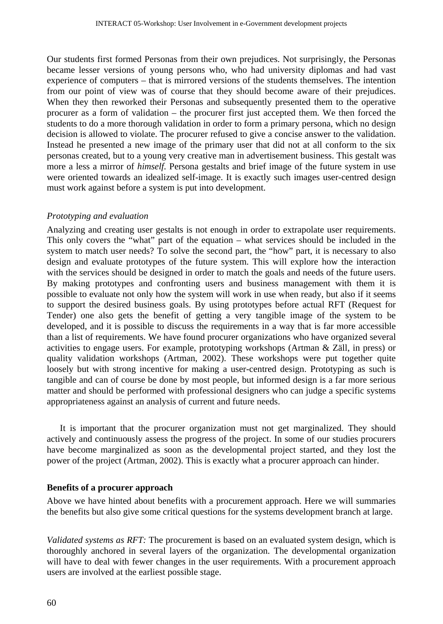Our students first formed Personas from their own prejudices. Not surprisingly, the Personas became lesser versions of young persons who, who had university diplomas and had vast experience of computers – that is mirrored versions of the students themselves. The intention from our point of view was of course that they should become aware of their prejudices. When they then reworked their Personas and subsequently presented them to the operative procurer as a form of validation – the procurer first just accepted them. We then forced the students to do a more thorough validation in order to form a primary persona, which no design decision is allowed to violate. The procurer refused to give a concise answer to the validation. Instead he presented a new image of the primary user that did not at all conform to the six personas created, but to a young very creative man in advertisement business. This gestalt was more a less a mirror of *himself*. Persona gestalts and brief image of the future system in use were oriented towards an idealized self-image. It is exactly such images user-centred design must work against before a system is put into development.

#### *Prototyping and evaluation*

Analyzing and creating user gestalts is not enough in order to extrapolate user requirements. This only covers the "what" part of the equation – what services should be included in the system to match user needs? To solve the second part, the "how" part, it is necessary to also design and evaluate prototypes of the future system. This will explore how the interaction with the services should be designed in order to match the goals and needs of the future users. By making prototypes and confronting users and business management with them it is possible to evaluate not only how the system will work in use when ready, but also if it seems to support the desired business goals. By using prototypes before actual RFT (Request for Tender) one also gets the benefit of getting a very tangible image of the system to be developed, and it is possible to discuss the requirements in a way that is far more accessible than a list of requirements. We have found procurer organizations who have organized several activities to engage users. For example, prototyping workshops (Artman & Zäll, in press) or quality validation workshops (Artman, 2002). These workshops were put together quite loosely but with strong incentive for making a user-centred design. Prototyping as such is tangible and can of course be done by most people, but informed design is a far more serious matter and should be performed with professional designers who can judge a specific systems appropriateness against an analysis of current and future needs.

It is important that the procurer organization must not get marginalized. They should actively and continuously assess the progress of the project. In some of our studies procurers have become marginalized as soon as the developmental project started, and they lost the power of the project (Artman, 2002). This is exactly what a procurer approach can hinder.

#### **Benefits of a procurer approach**

Above we have hinted about benefits with a procurement approach. Here we will summaries the benefits but also give some critical questions for the systems development branch at large.

*Validated systems as RFT:* The procurement is based on an evaluated system design, which is thoroughly anchored in several layers of the organization. The developmental organization will have to deal with fewer changes in the user requirements. With a procurement approach users are involved at the earliest possible stage.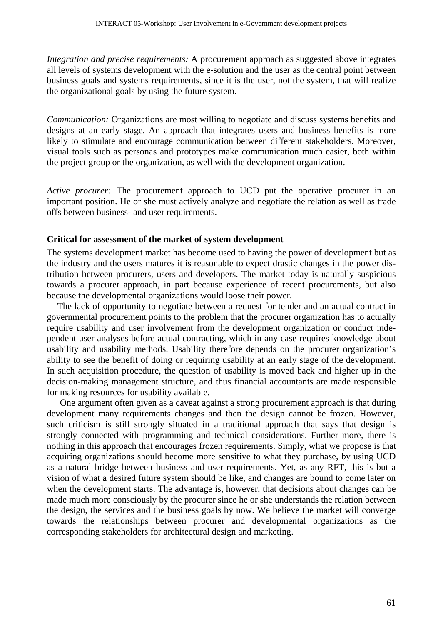*Integration and precise requirements:* A procurement approach as suggested above integrates all levels of systems development with the e-solution and the user as the central point between business goals and systems requirements, since it is the user, not the system, that will realize the organizational goals by using the future system.

*Communication:* Organizations are most willing to negotiate and discuss systems benefits and designs at an early stage. An approach that integrates users and business benefits is more likely to stimulate and encourage communication between different stakeholders. Moreover, visual tools such as personas and prototypes make communication much easier, both within the project group or the organization, as well with the development organization.

*Active procurer:* The procurement approach to UCD put the operative procurer in an important position. He or she must actively analyze and negotiate the relation as well as trade offs between business- and user requirements.

#### **Critical for assessment of the market of system development**

The systems development market has become used to having the power of development but as the industry and the users matures it is reasonable to expect drastic changes in the power distribution between procurers, users and developers. The market today is naturally suspicious towards a procurer approach, in part because experience of recent procurements, but also because the developmental organizations would loose their power.

The lack of opportunity to negotiate between a request for tender and an actual contract in governmental procurement points to the problem that the procurer organization has to actually require usability and user involvement from the development organization or conduct independent user analyses before actual contracting, which in any case requires knowledge about usability and usability methods. Usability therefore depends on the procurer organization's ability to see the benefit of doing or requiring usability at an early stage of the development. In such acquisition procedure, the question of usability is moved back and higher up in the decision-making management structure, and thus financial accountants are made responsible for making resources for usability available.

One argument often given as a caveat against a strong procurement approach is that during development many requirements changes and then the design cannot be frozen. However, such criticism is still strongly situated in a traditional approach that says that design is strongly connected with programming and technical considerations. Further more, there is nothing in this approach that encourages frozen requirements. Simply, what we propose is that acquiring organizations should become more sensitive to what they purchase, by using UCD as a natural bridge between business and user requirements. Yet, as any RFT, this is but a vision of what a desired future system should be like, and changes are bound to come later on when the development starts. The advantage is, however, that decisions about changes can be made much more consciously by the procurer since he or she understands the relation between the design, the services and the business goals by now. We believe the market will converge towards the relationships between procurer and developmental organizations as the corresponding stakeholders for architectural design and marketing.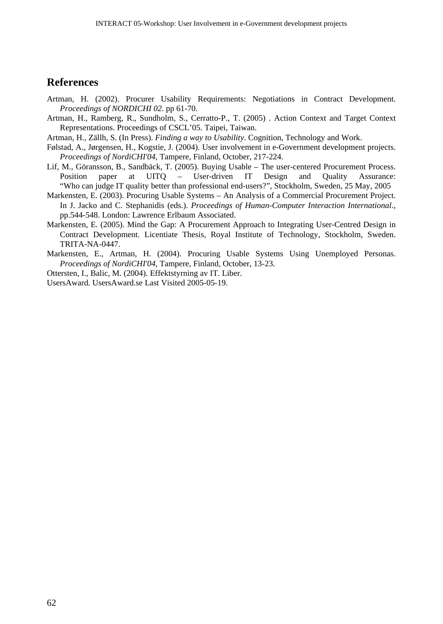### **References**

- Artman, H. (2002). Procurer Usability Requirements: Negotiations in Contract Development. *Proceedings of NORDICHI 02*. pp 61-70.
- Artman, H., Ramberg, R., Sundholm, S., Cerratto-P., T. (2005) . Action Context and Target Context Representations. Proceedings of CSCL'05. Taipei, Taiwan.
- Artman, H., Zällh, S. (In Press). *Finding a way to Usability*. Cognition, Technology and Work.
- Følstad, A., Jørgensen, H., Kogstie, J. (2004). User involvement in e-Government development projects. *Proceedings of NordiCHI'04*, Tampere, Finland, October, 217-224.
- Lif, M., Göransson, B., Sandbäck, T. (2005). Buying Usable The user-centered Procurement Process. Position paper at UITQ – User-driven IT Design and Quality Assurance: "Who can judge IT quality better than professional end-users?", Stockholm, Sweden, 25 May, 2005
- Markensten, E. (2003). Procuring Usable Systems An Analysis of a Commercial Procurement Project. In J. Jacko and C. Stephanidis (eds.). *Proceedings of Human-Computer Interaction International*., pp.544-548. London: Lawrence Erlbaum Associated.
- Markensten, E. (2005). Mind the Gap: A Procurement Approach to Integrating User-Centred Design in Contract Development. Licentiate Thesis, Royal Institute of Technology, Stockholm, Sweden. TRITA-NA-0447.
- Markensten, E., Artman, H. (2004). Procuring Usable Systems Using Unemployed Personas. *Proceedings of NordiCHI'04*, Tampere, Finland, October, 13-23.

Ottersten, I., Balic, M. (2004). Effektstyrning av IT. Liber.

UsersAward. UsersAward.se Last Visited 2005-05-19.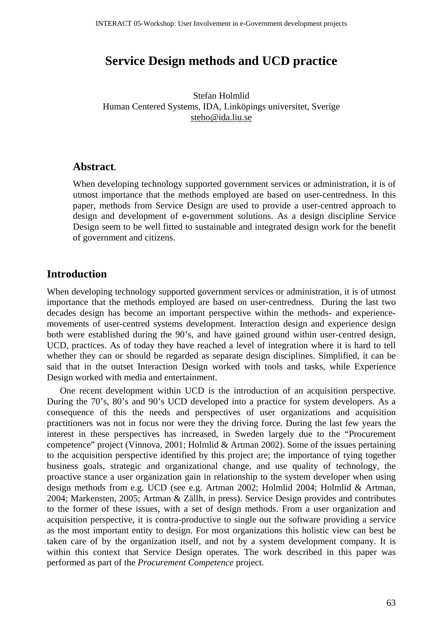# **Service Design methods and UCD practice**

Stefan Holmlid Human Centered Systems, IDA, Linköpings universitet, Sverige steho@ida.liu.se

### **Abstract.**

When developing technology supported government services or administration, it is of utmost importance that the methods employed are based on user-centredness. In this paper, methods from Service Design are used to provide a user-centred approach to design and development of e-government solutions. As a design discipline Service Design seem to be well fitted to sustainable and integrated design work for the benefit of government and citizens.

## **Introduction**

When developing technology supported government services or administration, it is of utmost importance that the methods employed are based on user-centredness. During the last two decades design has become an important perspective within the methods- and experiencemovements of user-centred systems development. Interaction design and experience design both were established during the 90's, and have gained ground within user-centred design, UCD, practices. As of today they have reached a level of integration where it is hard to tell whether they can or should be regarded as separate design disciplines. Simplified, it can be said that in the outset Interaction Design worked with tools and tasks, while Experience Design worked with media and entertainment.

One recent development within UCD is the introduction of an acquisition perspective. During the 70's, 80's and 90's UCD developed into a practice for system developers. As a consequence of this the needs and perspectives of user organizations and acquisition practitioners was not in focus nor were they the driving force. During the last few years the interest in these perspectives has increased, in Sweden largely due to the "Procurement competence" project (Vinnova, 2001; Holmlid & Artman 2002). Some of the issues pertaining to the acquisition perspective identified by this project are; the importance of tying together business goals, strategic and organizational change, and use quality of technology, the proactive stance a user organization gain in relationship to the system developer when using design methods from e.g. UCD (see e.g. Artman 2002; Holmlid 2004; Holmlid & Artman, 2004; Markensten, 2005; Artman & Zällh, in press). Service Design provides and contributes to the former of these issues, with a set of design methods. From a user organization and acquisition perspective, it is contra-productive to single out the software providing a service as the most important entity to design. For most organizations this holistic view can best be taken care of by the organization itself, and not by a system development company. It is within this context that Service Design operates. The work described in this paper was performed as part of the *Procurement Competence* project.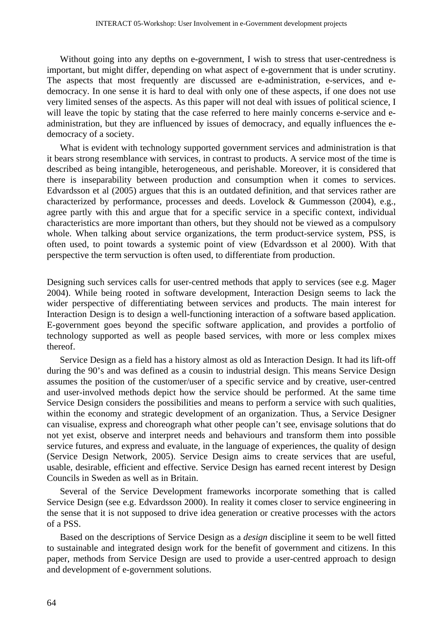Without going into any depths on e-government, I wish to stress that user-centredness is important, but might differ, depending on what aspect of e-government that is under scrutiny. The aspects that most frequently are discussed are e-administration, e-services, and edemocracy. In one sense it is hard to deal with only one of these aspects, if one does not use very limited senses of the aspects. As this paper will not deal with issues of political science, I will leave the topic by stating that the case referred to here mainly concerns e-service and eadministration, but they are influenced by issues of democracy, and equally influences the edemocracy of a society.

What is evident with technology supported government services and administration is that it bears strong resemblance with services, in contrast to products. A service most of the time is described as being intangible, heterogeneous, and perishable. Moreover, it is considered that there is inseparability between production and consumption when it comes to services. Edvardsson et al (2005) argues that this is an outdated definition, and that services rather are characterized by performance, processes and deeds. Lovelock & Gummesson (2004), e.g., agree partly with this and argue that for a specific service in a specific context, individual characteristics are more important than others, but they should not be viewed as a compulsory whole. When talking about service organizations, the term product-service system, PSS, is often used, to point towards a systemic point of view (Edvardsson et al 2000). With that perspective the term servuction is often used, to differentiate from production.

Designing such services calls for user-centred methods that apply to services (see e.g. Mager 2004). While being rooted in software development, Interaction Design seems to lack the wider perspective of differentiating between services and products. The main interest for Interaction Design is to design a well-functioning interaction of a software based application. E-government goes beyond the specific software application, and provides a portfolio of technology supported as well as people based services, with more or less complex mixes thereof.

Service Design as a field has a history almost as old as Interaction Design. It had its lift-off during the 90's and was defined as a cousin to industrial design. This means Service Design assumes the position of the customer/user of a specific service and by creative, user-centred and user-involved methods depict how the service should be performed. At the same time Service Design considers the possibilities and means to perform a service with such qualities, within the economy and strategic development of an organization. Thus, a Service Designer can visualise, express and choreograph what other people can't see, envisage solutions that do not yet exist, observe and interpret needs and behaviours and transform them into possible service futures, and express and evaluate, in the language of experiences, the quality of design (Service Design Network, 2005). Service Design aims to create services that are useful, usable, desirable, efficient and effective. Service Design has earned recent interest by Design Councils in Sweden as well as in Britain.

Several of the Service Development frameworks incorporate something that is called Service Design (see e.g. Edvardsson 2000). In reality it comes closer to service engineering in the sense that it is not supposed to drive idea generation or creative processes with the actors of a PSS.

Based on the descriptions of Service Design as a *design* discipline it seem to be well fitted to sustainable and integrated design work for the benefit of government and citizens. In this paper, methods from Service Design are used to provide a user-centred approach to design and development of e-government solutions.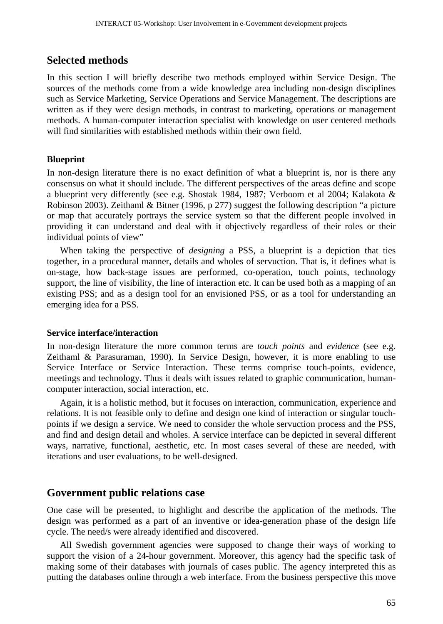## **Selected methods**

In this section I will briefly describe two methods employed within Service Design. The sources of the methods come from a wide knowledge area including non-design disciplines such as Service Marketing, Service Operations and Service Management. The descriptions are written as if they were design methods, in contrast to marketing, operations or management methods. A human-computer interaction specialist with knowledge on user centered methods will find similarities with established methods within their own field.

### **Blueprint**

In non-design literature there is no exact definition of what a blueprint is, nor is there any consensus on what it should include. The different perspectives of the areas define and scope a blueprint very differently (see e.g. Shostak 1984, 1987; Verboom et al 2004; Kalakota & Robinson 2003). Zeithaml & Bitner (1996, p 277) suggest the following description "a picture or map that accurately portrays the service system so that the different people involved in providing it can understand and deal with it objectively regardless of their roles or their individual points of view"

When taking the perspective of *designing* a PSS, a blueprint is a depiction that ties together, in a procedural manner, details and wholes of servuction. That is, it defines what is on-stage, how back-stage issues are performed, co-operation, touch points, technology support, the line of visibility, the line of interaction etc. It can be used both as a mapping of an existing PSS; and as a design tool for an envisioned PSS, or as a tool for understanding an emerging idea for a PSS.

#### **Service interface/interaction**

In non-design literature the more common terms are *touch points* and *evidence* (see e.g. Zeithaml & Parasuraman, 1990). In Service Design, however, it is more enabling to use Service Interface or Service Interaction. These terms comprise touch-points, evidence, meetings and technology. Thus it deals with issues related to graphic communication, humancomputer interaction, social interaction, etc.

Again, it is a holistic method, but it focuses on interaction, communication, experience and relations. It is not feasible only to define and design one kind of interaction or singular touchpoints if we design a service. We need to consider the whole servuction process and the PSS, and find and design detail and wholes. A service interface can be depicted in several different ways, narrative, functional, aesthetic, etc. In most cases several of these are needed, with iterations and user evaluations, to be well-designed.

## **Government public relations case**

One case will be presented, to highlight and describe the application of the methods. The design was performed as a part of an inventive or idea-generation phase of the design life cycle. The need/s were already identified and discovered.

All Swedish government agencies were supposed to change their ways of working to support the vision of a 24-hour government. Moreover, this agency had the specific task of making some of their databases with journals of cases public. The agency interpreted this as putting the databases online through a web interface. From the business perspective this move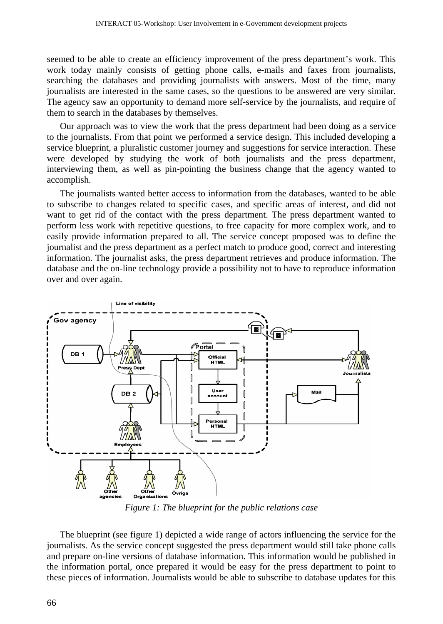seemed to be able to create an efficiency improvement of the press department's work. This work today mainly consists of getting phone calls, e-mails and faxes from journalists, searching the databases and providing journalists with answers. Most of the time, many journalists are interested in the same cases, so the questions to be answered are very similar. The agency saw an opportunity to demand more self-service by the journalists, and require of them to search in the databases by themselves.

Our approach was to view the work that the press department had been doing as a service to the journalists. From that point we performed a service design. This included developing a service blueprint, a pluralistic customer journey and suggestions for service interaction. These were developed by studying the work of both journalists and the press department, interviewing them, as well as pin-pointing the business change that the agency wanted to accomplish.

The journalists wanted better access to information from the databases, wanted to be able to subscribe to changes related to specific cases, and specific areas of interest, and did not want to get rid of the contact with the press department. The press department wanted to perform less work with repetitive questions, to free capacity for more complex work, and to easily provide information prepared to all. The service concept proposed was to define the journalist and the press department as a perfect match to produce good, correct and interesting information. The journalist asks, the press department retrieves and produce information. The database and the on-line technology provide a possibility not to have to reproduce information over and over again.



*Figure 1: The blueprint for the public relations case* 

The blueprint (see figure 1) depicted a wide range of actors influencing the service for the journalists. As the service concept suggested the press department would still take phone calls and prepare on-line versions of database information. This information would be published in the information portal, once prepared it would be easy for the press department to point to these pieces of information. Journalists would be able to subscribe to database updates for this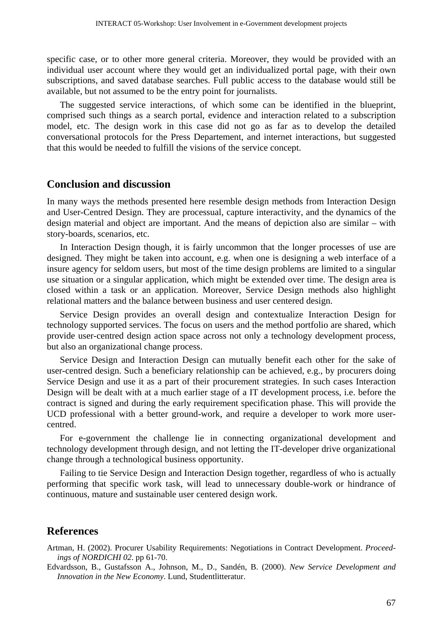specific case, or to other more general criteria. Moreover, they would be provided with an individual user account where they would get an individualized portal page, with their own subscriptions, and saved database searches. Full public access to the database would still be available, but not assumed to be the entry point for journalists.

The suggested service interactions, of which some can be identified in the blueprint, comprised such things as a search portal, evidence and interaction related to a subscription model, etc. The design work in this case did not go as far as to develop the detailed conversational protocols for the Press Departement, and internet interactions, but suggested that this would be needed to fulfill the visions of the service concept.

#### **Conclusion and discussion**

In many ways the methods presented here resemble design methods from Interaction Design and User-Centred Design. They are processual, capture interactivity, and the dynamics of the design material and object are important. And the means of depiction also are similar – with story-boards, scenarios, etc.

In Interaction Design though, it is fairly uncommon that the longer processes of use are designed. They might be taken into account, e.g. when one is designing a web interface of a insure agency for seldom users, but most of the time design problems are limited to a singular use situation or a singular application, which might be extended over time. The design area is closed within a task or an application. Moreover, Service Design methods also highlight relational matters and the balance between business and user centered design.

Service Design provides an overall design and contextualize Interaction Design for technology supported services. The focus on users and the method portfolio are shared, which provide user-centred design action space across not only a technology development process, but also an organizational change process.

Service Design and Interaction Design can mutually benefit each other for the sake of user-centred design. Such a beneficiary relationship can be achieved, e.g., by procurers doing Service Design and use it as a part of their procurement strategies. In such cases Interaction Design will be dealt with at a much earlier stage of a IT development process, i.e. before the contract is signed and during the early requirement specification phase. This will provide the UCD professional with a better ground-work, and require a developer to work more usercentred.

For e-government the challenge lie in connecting organizational development and technology development through design, and not letting the IT-developer drive organizational change through a technological business opportunity.

Failing to tie Service Design and Interaction Design together, regardless of who is actually performing that specific work task, will lead to unnecessary double-work or hindrance of continuous, mature and sustainable user centered design work.

### **References**

Artman, H. (2002). Procurer Usability Requirements: Negotiations in Contract Development. *Proceedings of NORDICHI 02*. pp 61-70.

Edvardsson, B., Gustafsson A., Johnson, M., D., Sandén, B. (2000). *New Service Development and Innovation in the New Economy*. Lund, Studentlitteratur.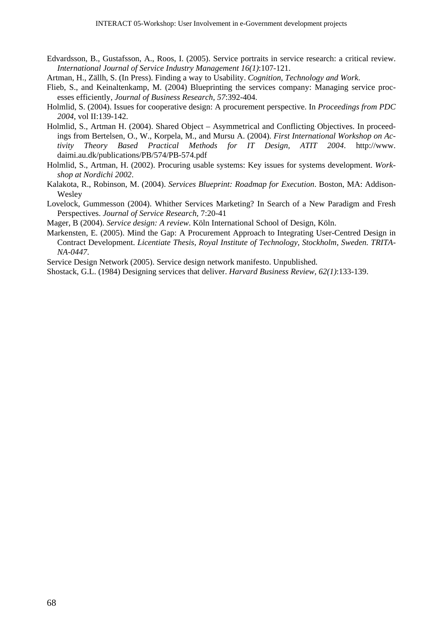- Edvardsson, B., Gustafsson, A., Roos, I. (2005). Service portraits in service research: a critical review. *International Journal of Service Industry Management 16(1)*:107-121.
- Artman, H., Zällh, S. (In Press). Finding a way to Usability. *Cognition, Technology and Work*.
- Flieb, S., and Keinaltenkamp, M. (2004) Blueprinting the services company: Managing service processes efficiently*, Journal of Business Research, 57*:392-404.
- Holmlid, S. (2004). Issues for cooperative design: A procurement perspective. In *Proceedings from PDC 2004*, vol II:139-142.
- Holmlid, S., Artman H. (2004). Shared Object Asymmetrical and Conflicting Objectives. In proceedings from Bertelsen, O., W., Korpela, M., and Mursu A. (2004). *First International Workshop on Activity Theory Based Practical Methods for IT Design, ATIT 2004*. http://www. daimi.au.dk/publications/PB/574/PB-574.pdf
- Holmlid, S., Artman, H. (2002). Procuring usable systems: Key issues for systems development. *Workshop at Nordichi 2002*.
- Kalakota, R., Robinson, M. (2004). *Services Blueprint: Roadmap for Execution*. Boston, MA: Addison-Wesley
- Lovelock, Gummesson (2004). Whither Services Marketing? In Search of a New Paradigm and Fresh Perspectives. *Journal of Service Research,* 7:20-41
- Mager, B (2004). *Service design: A review*. Köln International School of Design, Köln.
- Markensten, E. (2005). Mind the Gap: A Procurement Approach to Integrating User-Centred Design in Contract Development. *Licentiate Thesis, Royal Institute of Technology, Stockholm, Sweden. TRITA-NA-0447*.
- Service Design Network (2005). Service design network manifesto. Unpublished.
- Shostack, G.L. (1984) Designing services that deliver. *Harvard Business Review, 62(1)*:133-139.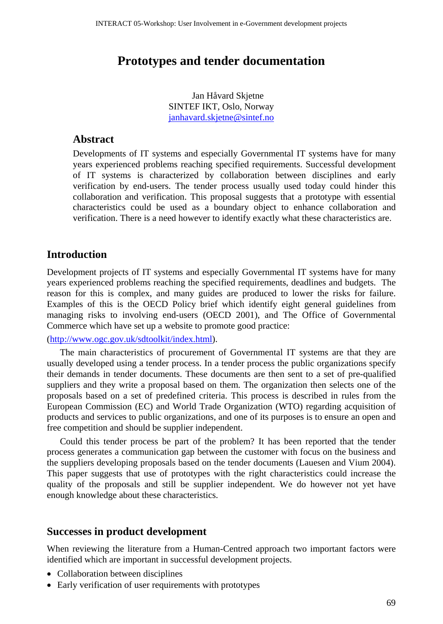# **Prototypes and tender documentation**

Jan Håvard Skjetne SINTEF IKT, Oslo, Norway janhavard.skjetne@sintef.no

## **Abstract**

Developments of IT systems and especially Governmental IT systems have for many years experienced problems reaching specified requirements. Successful development of IT systems is characterized by collaboration between disciplines and early verification by end-users. The tender process usually used today could hinder this collaboration and verification. This proposal suggests that a prototype with essential characteristics could be used as a boundary object to enhance collaboration and verification. There is a need however to identify exactly what these characteristics are.

# **Introduction**

Development projects of IT systems and especially Governmental IT systems have for many years experienced problems reaching the specified requirements, deadlines and budgets. The reason for this is complex, and many guides are produced to lower the risks for failure. Examples of this is the OECD Policy brief which identify eight general guidelines from managing risks to involving end-users (OECD 2001), and The Office of Governmental Commerce which have set up a website to promote good practice:

(http://www.ogc.gov.uk/sdtoolkit/index.html).

The main characteristics of procurement of Governmental IT systems are that they are usually developed using a tender process. In a tender process the public organizations specify their demands in tender documents. These documents are then sent to a set of pre-qualified suppliers and they write a proposal based on them. The organization then selects one of the proposals based on a set of predefined criteria. This process is described in rules from the European Commission (EC) and World Trade Organization (WTO) regarding acquisition of products and services to public organizations, and one of its purposes is to ensure an open and free competition and should be supplier independent.

Could this tender process be part of the problem? It has been reported that the tender process generates a communication gap between the customer with focus on the business and the suppliers developing proposals based on the tender documents (Lauesen and Vium 2004). This paper suggests that use of prototypes with the right characteristics could increase the quality of the proposals and still be supplier independent. We do however not yet have enough knowledge about these characteristics.

## **Successes in product development**

When reviewing the literature from a Human-Centred approach two important factors were identified which are important in successful development projects.

- Collaboration between disciplines
- Early verification of user requirements with prototypes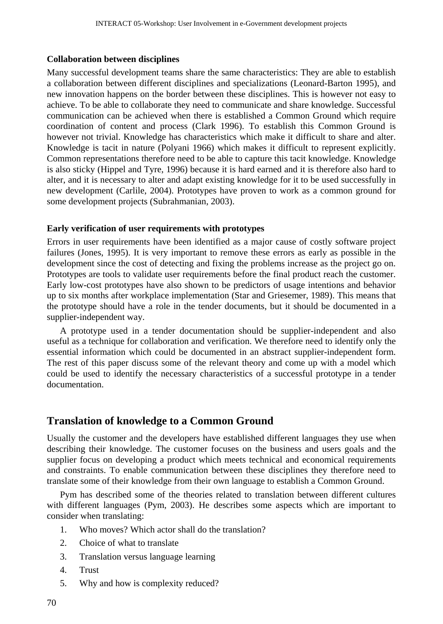### **Collaboration between disciplines**

Many successful development teams share the same characteristics: They are able to establish a collaboration between different disciplines and specializations (Leonard-Barton 1995), and new innovation happens on the border between these disciplines. This is however not easy to achieve. To be able to collaborate they need to communicate and share knowledge. Successful communication can be achieved when there is established a Common Ground which require coordination of content and process (Clark 1996). To establish this Common Ground is however not trivial. Knowledge has characteristics which make it difficult to share and alter. Knowledge is tacit in nature (Polyani 1966) which makes it difficult to represent explicitly. Common representations therefore need to be able to capture this tacit knowledge. Knowledge is also sticky (Hippel and Tyre, 1996) because it is hard earned and it is therefore also hard to alter, and it is necessary to alter and adapt existing knowledge for it to be used successfully in new development (Carlile, 2004). Prototypes have proven to work as a common ground for some development projects (Subrahmanian, 2003).

### **Early verification of user requirements with prototypes**

Errors in user requirements have been identified as a major cause of costly software project failures (Jones, 1995). It is very important to remove these errors as early as possible in the development since the cost of detecting and fixing the problems increase as the project go on. Prototypes are tools to validate user requirements before the final product reach the customer. Early low-cost prototypes have also shown to be predictors of usage intentions and behavior up to six months after workplace implementation (Star and Griesemer, 1989). This means that the prototype should have a role in the tender documents, but it should be documented in a supplier-independent way.

A prototype used in a tender documentation should be supplier-independent and also useful as a technique for collaboration and verification. We therefore need to identify only the essential information which could be documented in an abstract supplier-independent form. The rest of this paper discuss some of the relevant theory and come up with a model which could be used to identify the necessary characteristics of a successful prototype in a tender documentation.

# **Translation of knowledge to a Common Ground**

Usually the customer and the developers have established different languages they use when describing their knowledge. The customer focuses on the business and users goals and the supplier focus on developing a product which meets technical and economical requirements and constraints. To enable communication between these disciplines they therefore need to translate some of their knowledge from their own language to establish a Common Ground.

Pym has described some of the theories related to translation between different cultures with different languages (Pym, 2003). He describes some aspects which are important to consider when translating:

- 1. Who moves? Which actor shall do the translation?
- 2. Choice of what to translate
- 3. Translation versus language learning
- 4. Trust
- 5. Why and how is complexity reduced?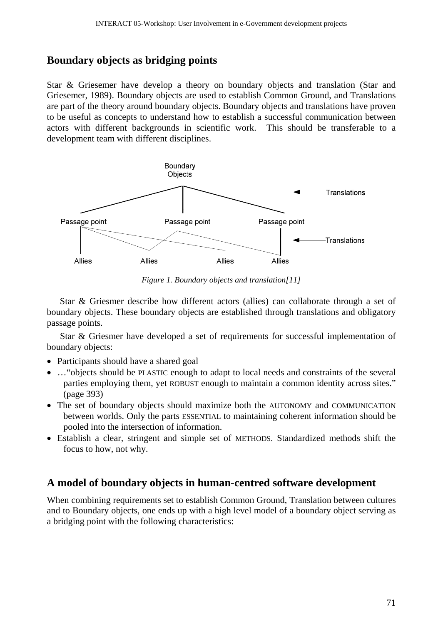# **Boundary objects as bridging points**

Star & Griesemer have develop a theory on boundary objects and translation (Star and Griesemer, 1989). Boundary objects are used to establish Common Ground, and Translations are part of the theory around boundary objects. Boundary objects and translations have proven to be useful as concepts to understand how to establish a successful communication between actors with different backgrounds in scientific work. This should be transferable to a development team with different disciplines.



*Figure 1. Boundary objects and translation[11]* 

Star & Griesmer describe how different actors (allies) can collaborate through a set of boundary objects. These boundary objects are established through translations and obligatory passage points.

Star & Griesmer have developed a set of requirements for successful implementation of boundary objects:

- Participants should have a shared goal
- …"objects should be PLASTIC enough to adapt to local needs and constraints of the several parties employing them, yet ROBUST enough to maintain a common identity across sites." (page 393)
- The set of boundary objects should maximize both the AUTONOMY and COMMUNICATION between worlds. Only the parts ESSENTIAL to maintaining coherent information should be pooled into the intersection of information.
- Establish a clear, stringent and simple set of METHODS. Standardized methods shift the focus to how, not why.

# **A model of boundary objects in human-centred software development**

When combining requirements set to establish Common Ground, Translation between cultures and to Boundary objects, one ends up with a high level model of a boundary object serving as a bridging point with the following characteristics: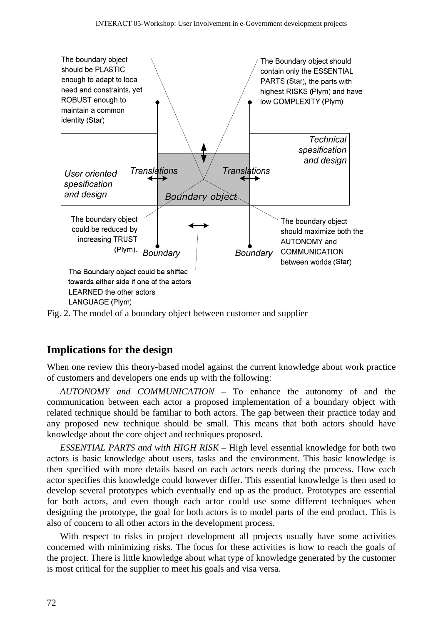

Fig. 2. The model of a boundary object between customer and supplier

# **Implications for the design**

When one review this theory-based model against the current knowledge about work practice of customers and developers one ends up with the following:

*AUTONOMY and COMMUNICATION* – To enhance the autonomy of and the communication between each actor a proposed implementation of a boundary object with related technique should be familiar to both actors. The gap between their practice today and any proposed new technique should be small. This means that both actors should have knowledge about the core object and techniques proposed.

*ESSENTIAL PARTS and with HIGH RISK* – High level essential knowledge for both two actors is basic knowledge about users, tasks and the environment. This basic knowledge is then specified with more details based on each actors needs during the process. How each actor specifies this knowledge could however differ. This essential knowledge is then used to develop several prototypes which eventually end up as the product. Prototypes are essential for both actors, and even though each actor could use some different techniques when designing the prototype, the goal for both actors is to model parts of the end product. This is also of concern to all other actors in the development process.

With respect to risks in project development all projects usually have some activities concerned with minimizing risks. The focus for these activities is how to reach the goals of the project. There is little knowledge about what type of knowledge generated by the customer is most critical for the supplier to meet his goals and visa versa.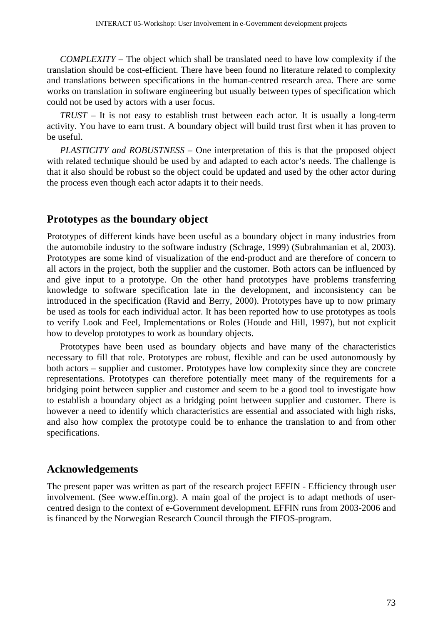*COMPLEXITY* – The object which shall be translated need to have low complexity if the translation should be cost-efficient. There have been found no literature related to complexity and translations between specifications in the human-centred research area. There are some works on translation in software engineering but usually between types of specification which could not be used by actors with a user focus.

*TRUST* – It is not easy to establish trust between each actor. It is usually a long-term activity. You have to earn trust. A boundary object will build trust first when it has proven to be useful.

*PLASTICITY and ROBUSTNESS* – One interpretation of this is that the proposed object with related technique should be used by and adapted to each actor's needs. The challenge is that it also should be robust so the object could be updated and used by the other actor during the process even though each actor adapts it to their needs.

## **Prototypes as the boundary object**

Prototypes of different kinds have been useful as a boundary object in many industries from the automobile industry to the software industry (Schrage, 1999) (Subrahmanian et al, 2003). Prototypes are some kind of visualization of the end-product and are therefore of concern to all actors in the project, both the supplier and the customer. Both actors can be influenced by and give input to a prototype. On the other hand prototypes have problems transferring knowledge to software specification late in the development, and inconsistency can be introduced in the specification (Ravid and Berry, 2000). Prototypes have up to now primary be used as tools for each individual actor. It has been reported how to use prototypes as tools to verify Look and Feel, Implementations or Roles (Houde and Hill, 1997), but not explicit how to develop prototypes to work as boundary objects.

Prototypes have been used as boundary objects and have many of the characteristics necessary to fill that role. Prototypes are robust, flexible and can be used autonomously by both actors – supplier and customer. Prototypes have low complexity since they are concrete representations. Prototypes can therefore potentially meet many of the requirements for a bridging point between supplier and customer and seem to be a good tool to investigate how to establish a boundary object as a bridging point between supplier and customer. There is however a need to identify which characteristics are essential and associated with high risks, and also how complex the prototype could be to enhance the translation to and from other specifications.

## **Acknowledgements**

The present paper was written as part of the research project EFFIN - Efficiency through user involvement. (See www.effin.org). A main goal of the project is to adapt methods of usercentred design to the context of e-Government development. EFFIN runs from 2003-2006 and is financed by the Norwegian Research Council through the FIFOS-program.